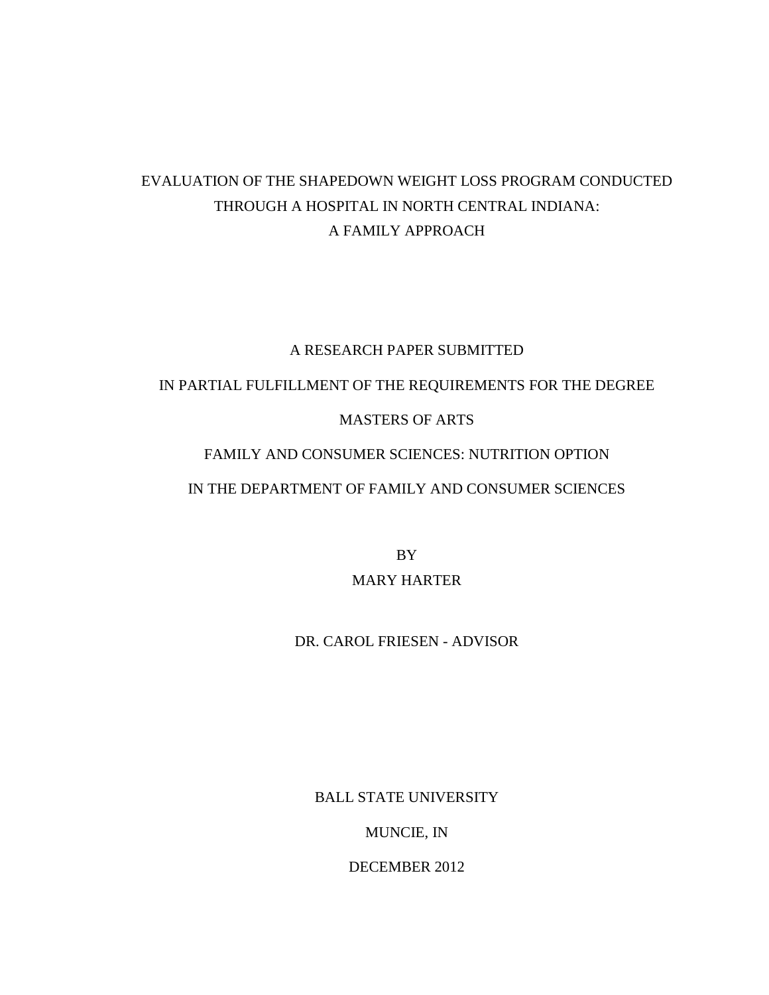# EVALUATION OF THE SHAPEDOWN WEIGHT LOSS PROGRAM CONDUCTED THROUGH A HOSPITAL IN NORTH CENTRAL INDIANA: A FAMILY APPROACH

# A RESEARCH PAPER SUBMITTED

# IN PARTIAL FULFILLMENT OF THE REQUIREMENTS FOR THE DEGREE

# MASTERS OF ARTS

# FAMILY AND CONSUMER SCIENCES: NUTRITION OPTION

# IN THE DEPARTMENT OF FAMILY AND CONSUMER SCIENCES

BY MARY HARTER

# DR. CAROL FRIESEN - ADVISOR

BALL STATE UNIVERSITY

MUNCIE, IN

DECEMBER 2012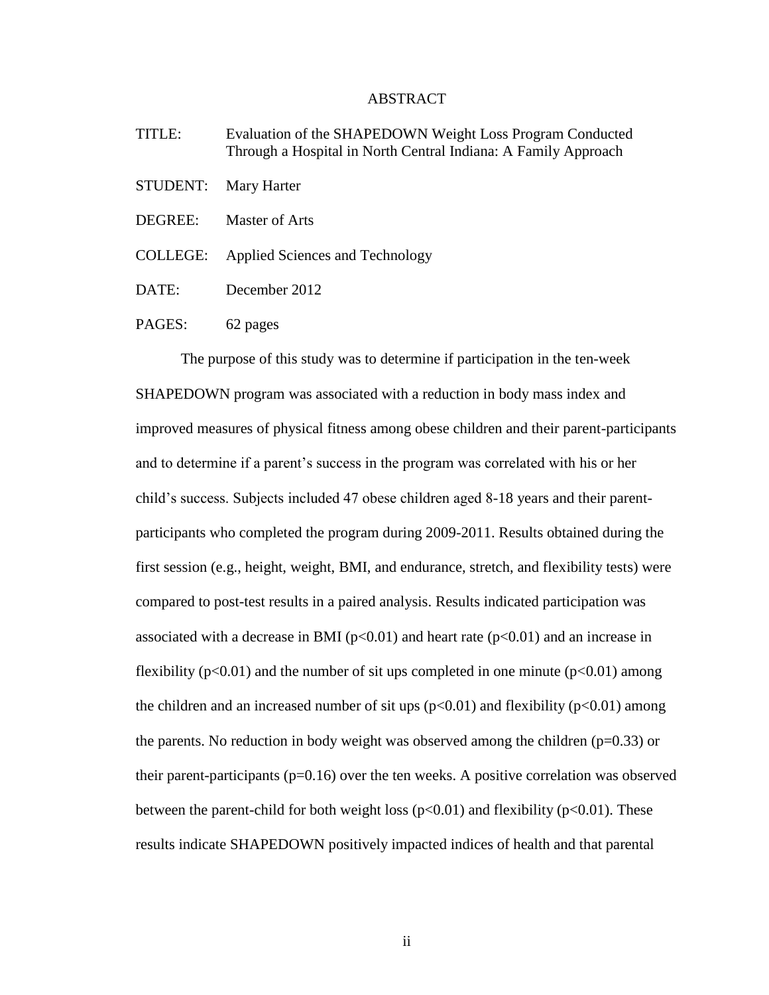### ABSTRACT

- TITLE: Evaluation of the SHAPEDOWN Weight Loss Program Conducted Through a Hospital in North Central Indiana: A Family Approach
- STUDENT: Mary Harter
- DEGREE: Master of Arts
- COLLEGE: Applied Sciences and Technology
- DATE: December 2012
- PAGES: 62 pages

The purpose of this study was to determine if participation in the ten-week SHAPEDOWN program was associated with a reduction in body mass index and improved measures of physical fitness among obese children and their parent-participants and to determine if a parent's success in the program was correlated with his or her child's success. Subjects included 47 obese children aged 8-18 years and their parentparticipants who completed the program during 2009-2011. Results obtained during the first session (e.g., height, weight, BMI, and endurance, stretch, and flexibility tests) were compared to post-test results in a paired analysis. Results indicated participation was associated with a decrease in BMI ( $p<0.01$ ) and heart rate ( $p<0.01$ ) and an increase in flexibility ( $p<0.01$ ) and the number of sit ups completed in one minute ( $p<0.01$ ) among the children and an increased number of sit ups  $(p<0.01)$  and flexibility  $(p<0.01)$  among the parents. No reduction in body weight was observed among the children  $(p=0.33)$  or their parent-participants ( $p=0.16$ ) over the ten weeks. A positive correlation was observed between the parent-child for both weight loss ( $p<0.01$ ) and flexibility ( $p<0.01$ ). These results indicate SHAPEDOWN positively impacted indices of health and that parental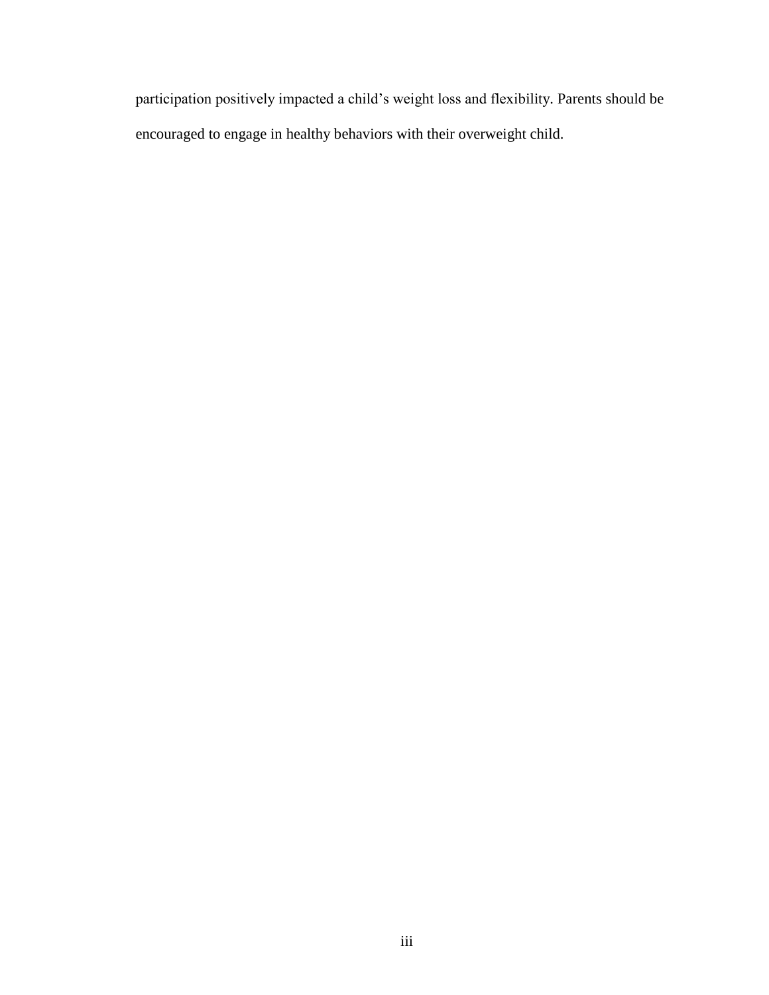participation positively impacted a child's weight loss and flexibility. Parents should be encouraged to engage in healthy behaviors with their overweight child.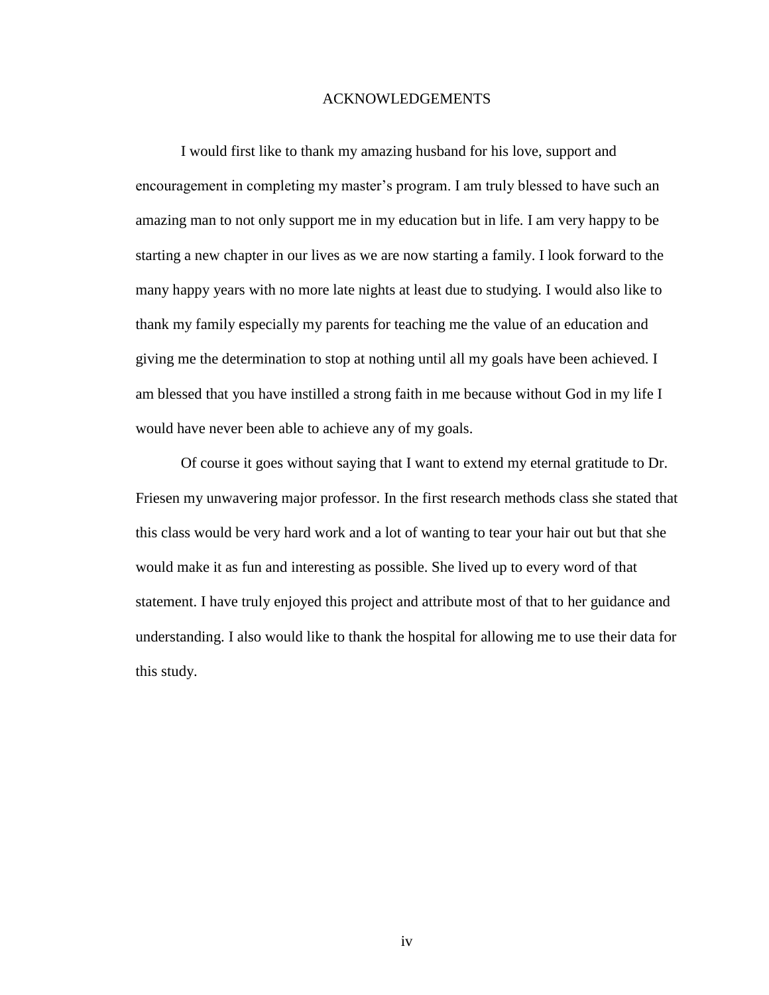# ACKNOWLEDGEMENTS

I would first like to thank my amazing husband for his love, support and encouragement in completing my master's program. I am truly blessed to have such an amazing man to not only support me in my education but in life. I am very happy to be starting a new chapter in our lives as we are now starting a family. I look forward to the many happy years with no more late nights at least due to studying. I would also like to thank my family especially my parents for teaching me the value of an education and giving me the determination to stop at nothing until all my goals have been achieved. I am blessed that you have instilled a strong faith in me because without God in my life I would have never been able to achieve any of my goals.

Of course it goes without saying that I want to extend my eternal gratitude to Dr. Friesen my unwavering major professor. In the first research methods class she stated that this class would be very hard work and a lot of wanting to tear your hair out but that she would make it as fun and interesting as possible. She lived up to every word of that statement. I have truly enjoyed this project and attribute most of that to her guidance and understanding. I also would like to thank the hospital for allowing me to use their data for this study.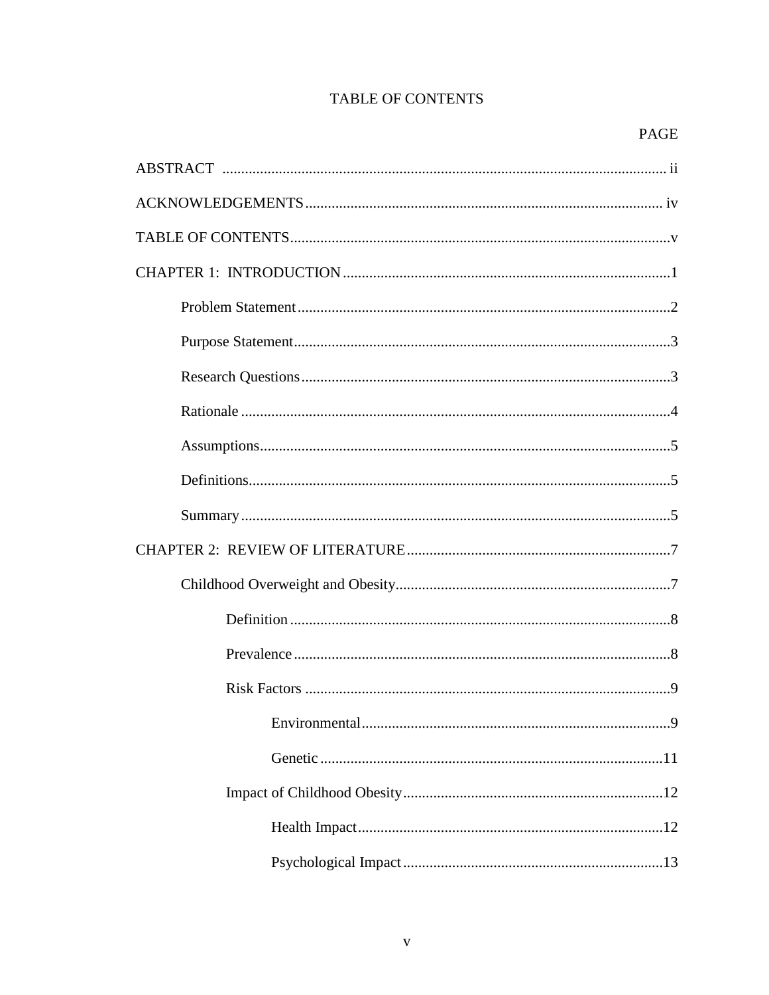# **TABLE OF CONTENTS**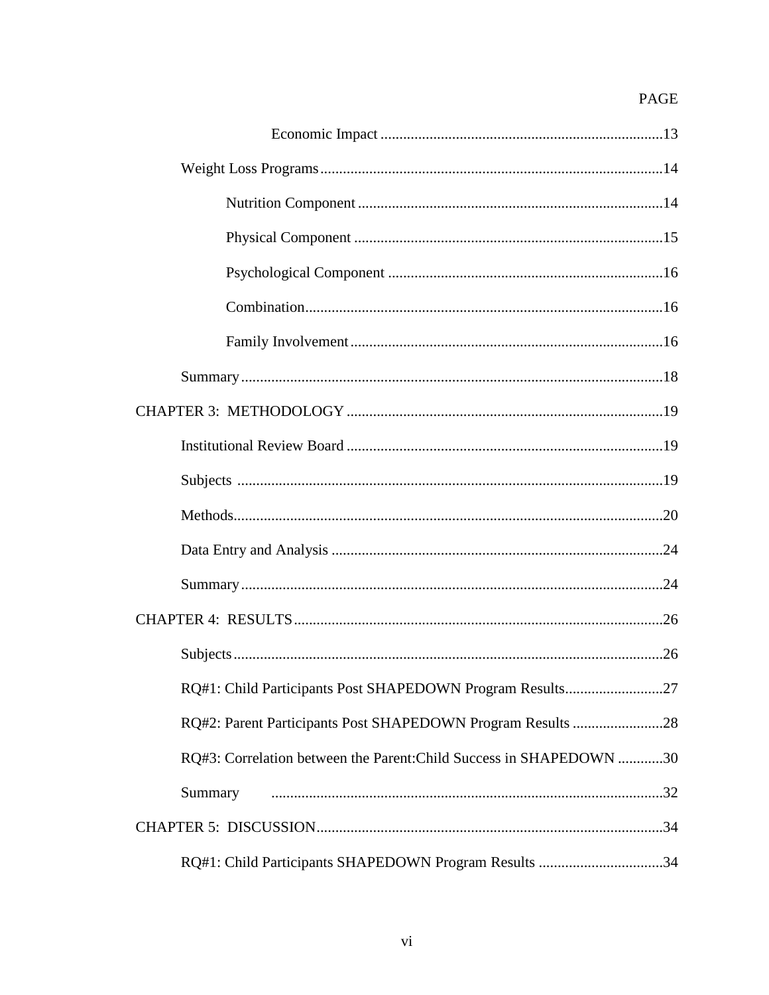# PAGE

| RQ#1: Child Participants Post SHAPEDOWN Program Results27           |
|---------------------------------------------------------------------|
|                                                                     |
| RQ#3: Correlation between the Parent: Child Success in SHAPEDOWN 30 |
| Summary                                                             |
|                                                                     |
| RQ#1: Child Participants SHAPEDOWN Program Results 34               |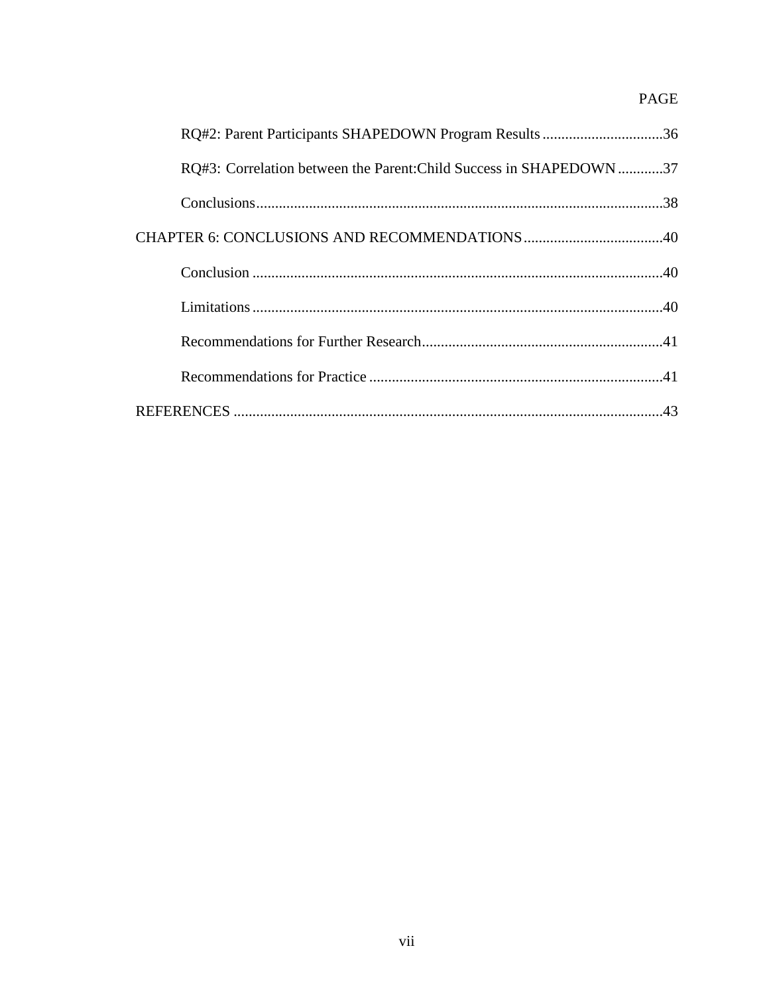# PAGE

| RQ#2: Parent Participants SHAPEDOWN Program Results 36             |  |
|--------------------------------------------------------------------|--|
| RQ#3: Correlation between the Parent: Child Success in SHAPEDOWN37 |  |
|                                                                    |  |
|                                                                    |  |
|                                                                    |  |
|                                                                    |  |
|                                                                    |  |
|                                                                    |  |
|                                                                    |  |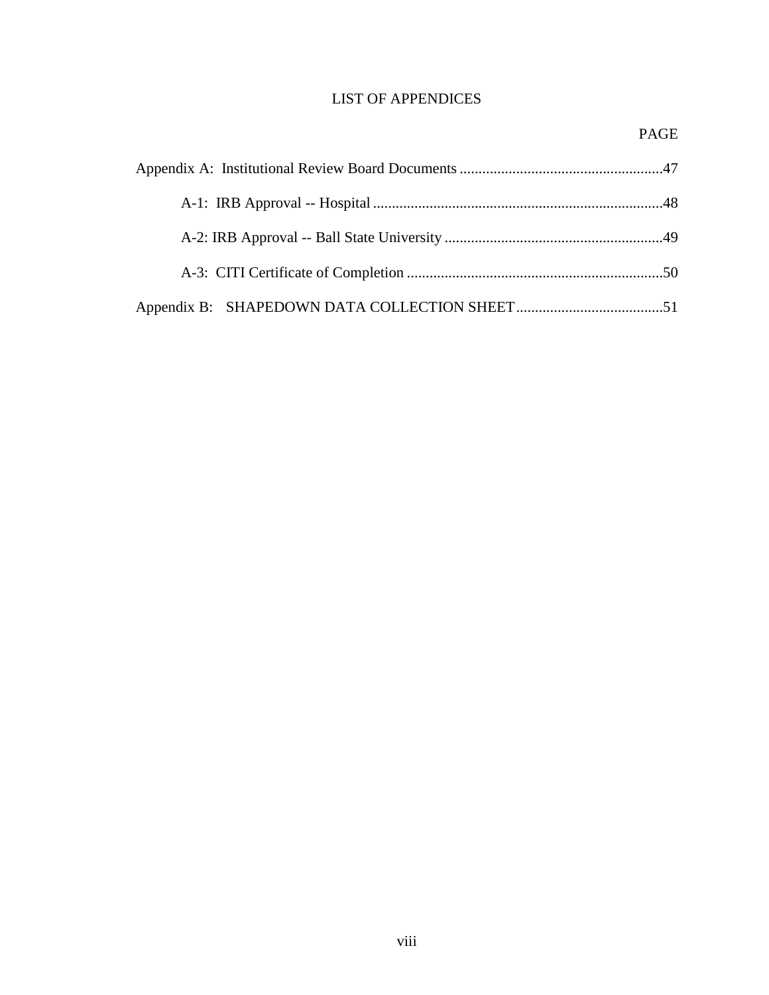# LIST OF APPENDICES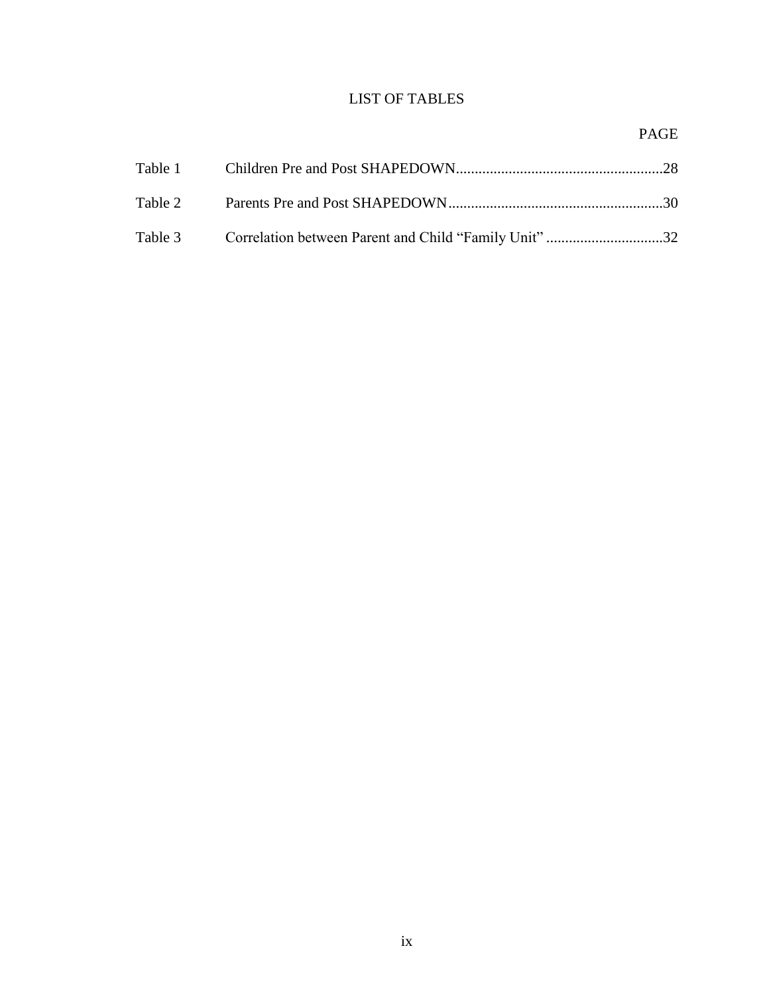# LIST OF TABLES

# PAGE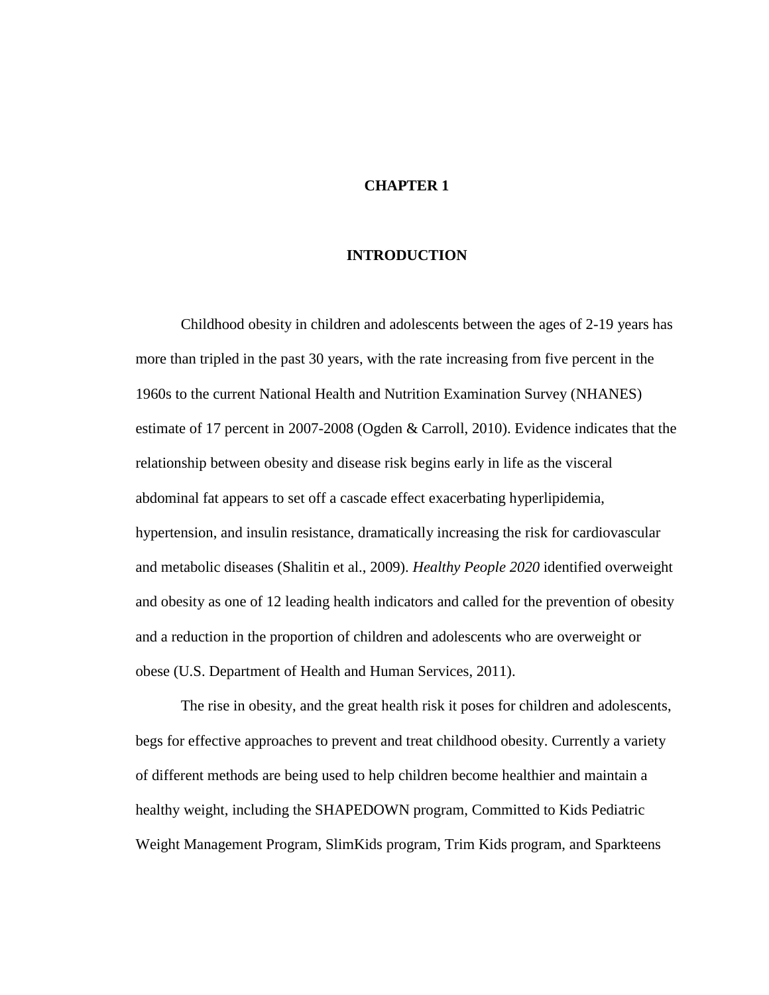# **CHAPTER 1**

### **INTRODUCTION**

Childhood obesity in children and adolescents between the ages of 2-19 years has more than tripled in the past 30 years, with the rate increasing from five percent in the 1960s to the current National Health and Nutrition Examination Survey (NHANES) estimate of 17 percent in 2007-2008 (Ogden & Carroll, 2010). Evidence indicates that the relationship between obesity and disease risk begins early in life as the visceral abdominal fat appears to set off a cascade effect exacerbating hyperlipidemia, hypertension, and insulin resistance, dramatically increasing the risk for cardiovascular and metabolic diseases (Shalitin et al., 2009). *Healthy People 2020* identified overweight and obesity as one of 12 leading health indicators and called for the prevention of obesity and a reduction in the proportion of children and adolescents who are overweight or obese (U.S. Department of Health and Human Services, 2011).

The rise in obesity, and the great health risk it poses for children and adolescents, begs for effective approaches to prevent and treat childhood obesity. Currently a variety of different methods are being used to help children become healthier and maintain a healthy weight, including the SHAPEDOWN program, Committed to Kids Pediatric Weight Management Program, SlimKids program, Trim Kids program, and Sparkteens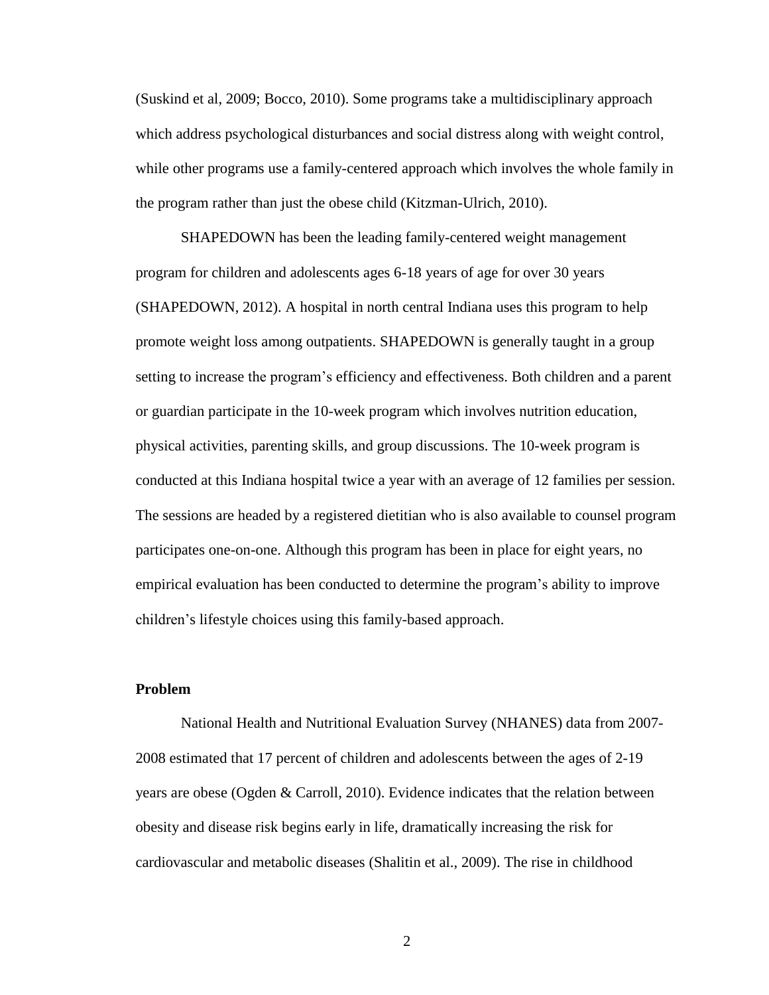(Suskind et al, 2009; Bocco, 2010). Some programs take a multidisciplinary approach which address psychological disturbances and social distress along with weight control, while other programs use a family-centered approach which involves the whole family in the program rather than just the obese child (Kitzman-Ulrich, 2010).

SHAPEDOWN has been the leading family-centered weight management program for children and adolescents ages 6-18 years of age for over 30 years (SHAPEDOWN, 2012). A hospital in north central Indiana uses this program to help promote weight loss among outpatients. SHAPEDOWN is generally taught in a group setting to increase the program's efficiency and effectiveness. Both children and a parent or guardian participate in the 10-week program which involves nutrition education, physical activities, parenting skills, and group discussions. The 10-week program is conducted at this Indiana hospital twice a year with an average of 12 families per session. The sessions are headed by a registered dietitian who is also available to counsel program participates one-on-one. Although this program has been in place for eight years, no empirical evaluation has been conducted to determine the program's ability to improve children's lifestyle choices using this family-based approach.

# **Problem**

National Health and Nutritional Evaluation Survey (NHANES) data from 2007- 2008 estimated that 17 percent of children and adolescents between the ages of 2-19 years are obese (Ogden & Carroll, 2010). Evidence indicates that the relation between obesity and disease risk begins early in life, dramatically increasing the risk for cardiovascular and metabolic diseases (Shalitin et al., 2009). The rise in childhood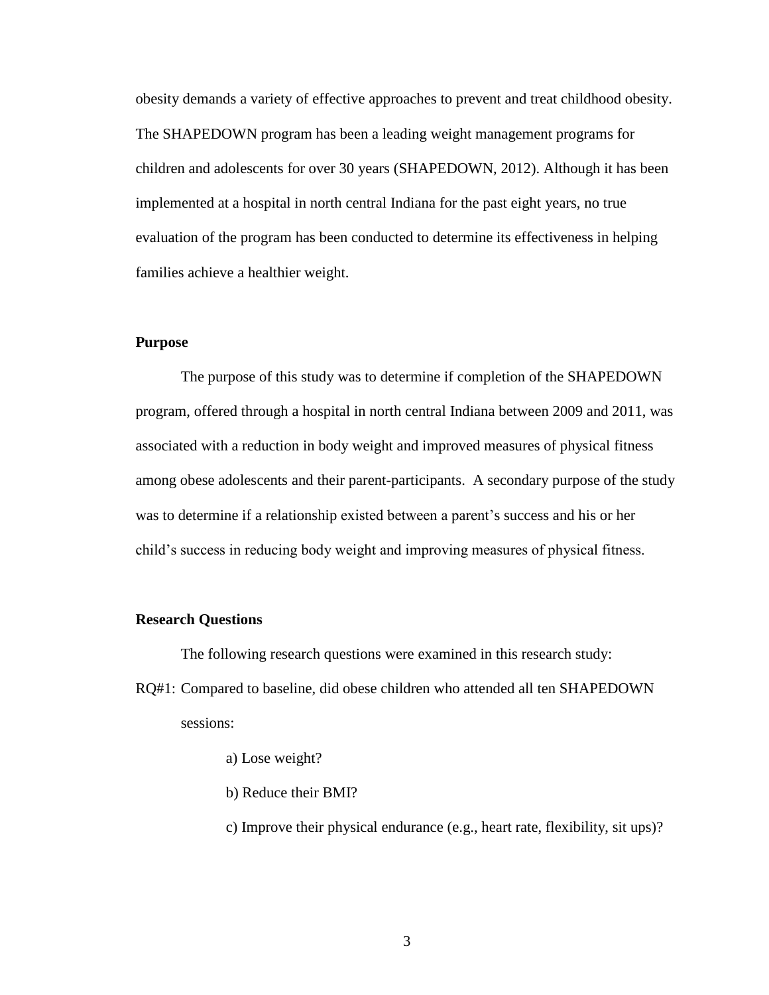obesity demands a variety of effective approaches to prevent and treat childhood obesity. The SHAPEDOWN program has been a leading weight management programs for children and adolescents for over 30 years (SHAPEDOWN, 2012). Although it has been implemented at a hospital in north central Indiana for the past eight years, no true evaluation of the program has been conducted to determine its effectiveness in helping families achieve a healthier weight.

# **Purpose**

The purpose of this study was to determine if completion of the SHAPEDOWN program, offered through a hospital in north central Indiana between 2009 and 2011, was associated with a reduction in body weight and improved measures of physical fitness among obese adolescents and their parent-participants. A secondary purpose of the study was to determine if a relationship existed between a parent's success and his or her child's success in reducing body weight and improving measures of physical fitness.

### **Research Questions**

The following research questions were examined in this research study:

- RQ#1: Compared to baseline, did obese children who attended all ten SHAPEDOWN sessions:
	- a) Lose weight?
	- b) Reduce their BMI?
	- c) Improve their physical endurance (e.g., heart rate, flexibility, sit ups)?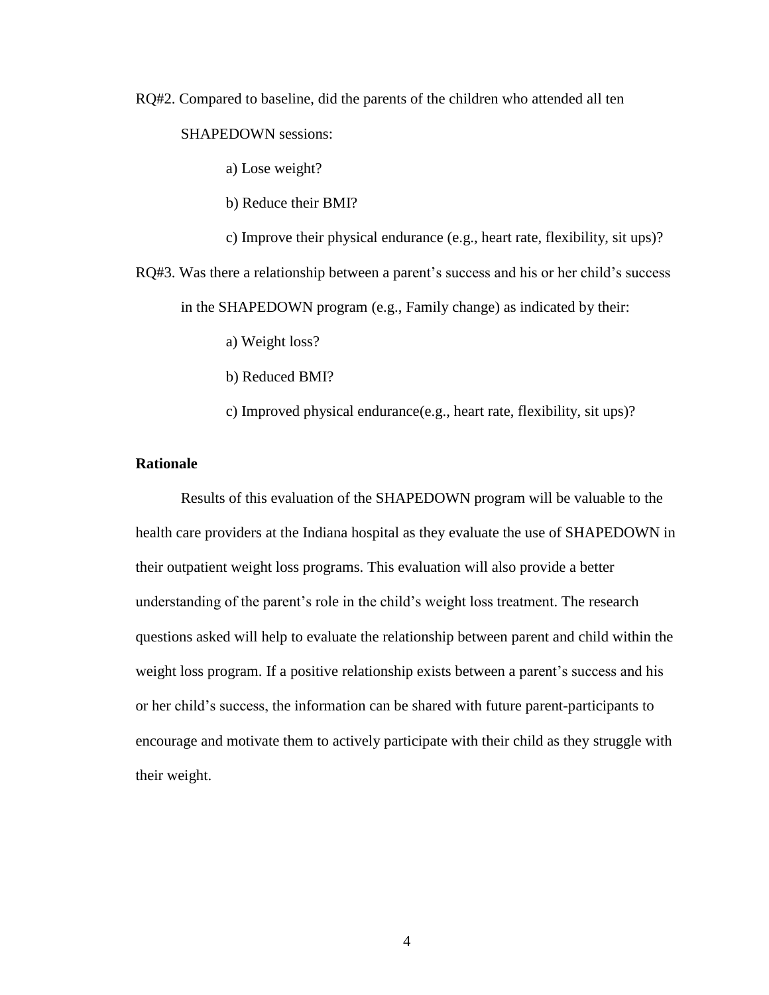RQ#2. Compared to baseline, did the parents of the children who attended all ten

SHAPEDOWN sessions:

a) Lose weight?

b) Reduce their BMI?

c) Improve their physical endurance (e.g., heart rate, flexibility, sit ups)?

RQ#3. Was there a relationship between a parent's success and his or her child's success in the SHAPEDOWN program (e.g., Family change) as indicated by their:

a) Weight loss?

b) Reduced BMI?

c) Improved physical endurance(e.g., heart rate, flexibility, sit ups)?

# **Rationale**

Results of this evaluation of the SHAPEDOWN program will be valuable to the health care providers at the Indiana hospital as they evaluate the use of SHAPEDOWN in their outpatient weight loss programs. This evaluation will also provide a better understanding of the parent's role in the child's weight loss treatment. The research questions asked will help to evaluate the relationship between parent and child within the weight loss program. If a positive relationship exists between a parent's success and his or her child's success, the information can be shared with future parent-participants to encourage and motivate them to actively participate with their child as they struggle with their weight.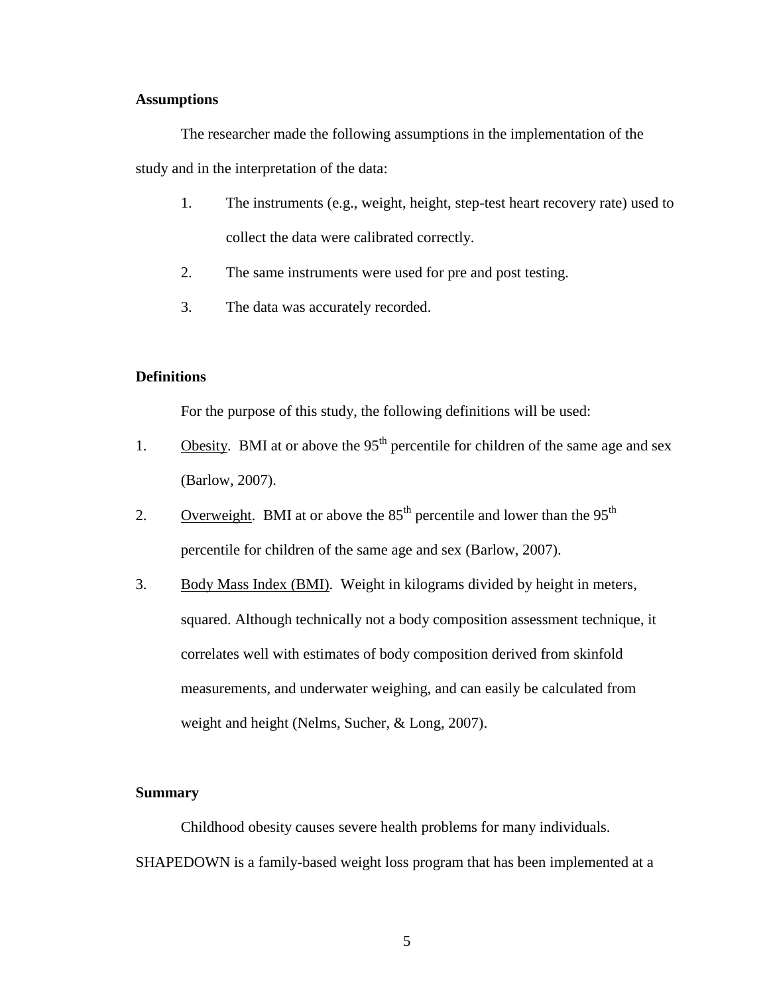# **Assumptions**

The researcher made the following assumptions in the implementation of the study and in the interpretation of the data:

- 1. The instruments (e.g., weight, height, step-test heart recovery rate) used to collect the data were calibrated correctly.
- 2. The same instruments were used for pre and post testing.
- 3. The data was accurately recorded.

# **Definitions**

For the purpose of this study, the following definitions will be used:

- 1. Obesity. BMI at or above the  $95<sup>th</sup>$  percentile for children of the same age and sex (Barlow, 2007).
- 2. Overweight. BMI at or above the  $85<sup>th</sup>$  percentile and lower than the  $95<sup>th</sup>$ percentile for children of the same age and sex (Barlow, 2007).
- 3. Body Mass Index (BMI). Weight in kilograms divided by height in meters, squared. Although technically not a body composition assessment technique, it correlates well with estimates of body composition derived from skinfold measurements, and underwater weighing, and can easily be calculated from weight and height (Nelms, Sucher, & Long, 2007).

## **Summary**

Childhood obesity causes severe health problems for many individuals. SHAPEDOWN is a family-based weight loss program that has been implemented at a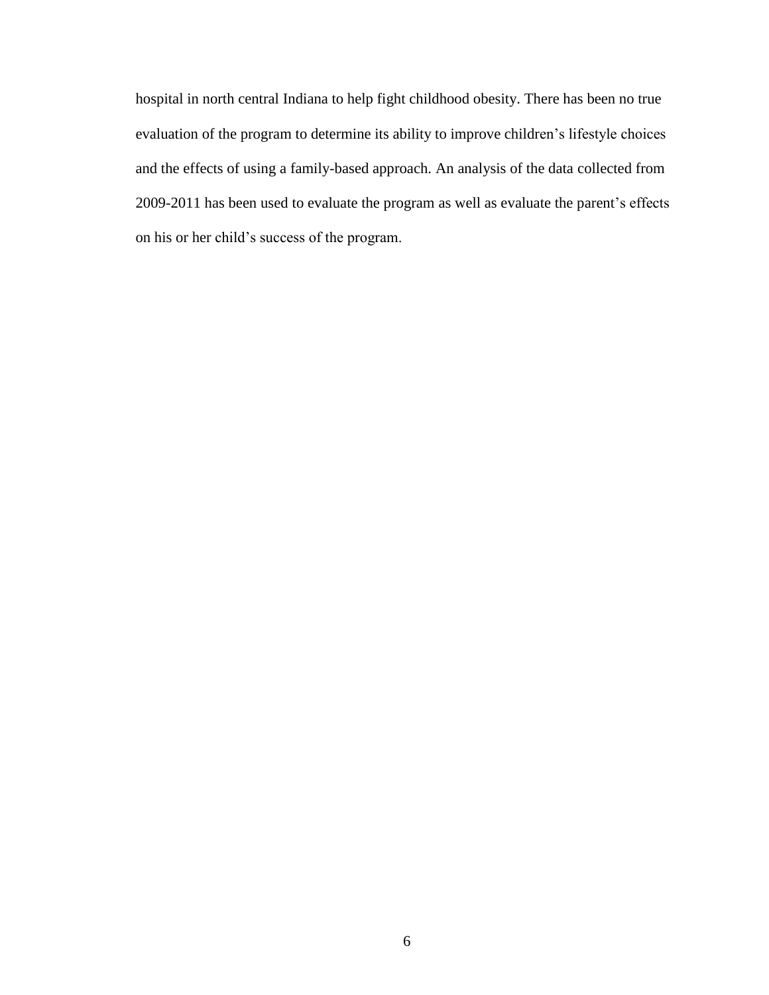hospital in north central Indiana to help fight childhood obesity. There has been no true evaluation of the program to determine its ability to improve children's lifestyle choices and the effects of using a family-based approach. An analysis of the data collected from 2009-2011 has been used to evaluate the program as well as evaluate the parent's effects on his or her child's success of the program.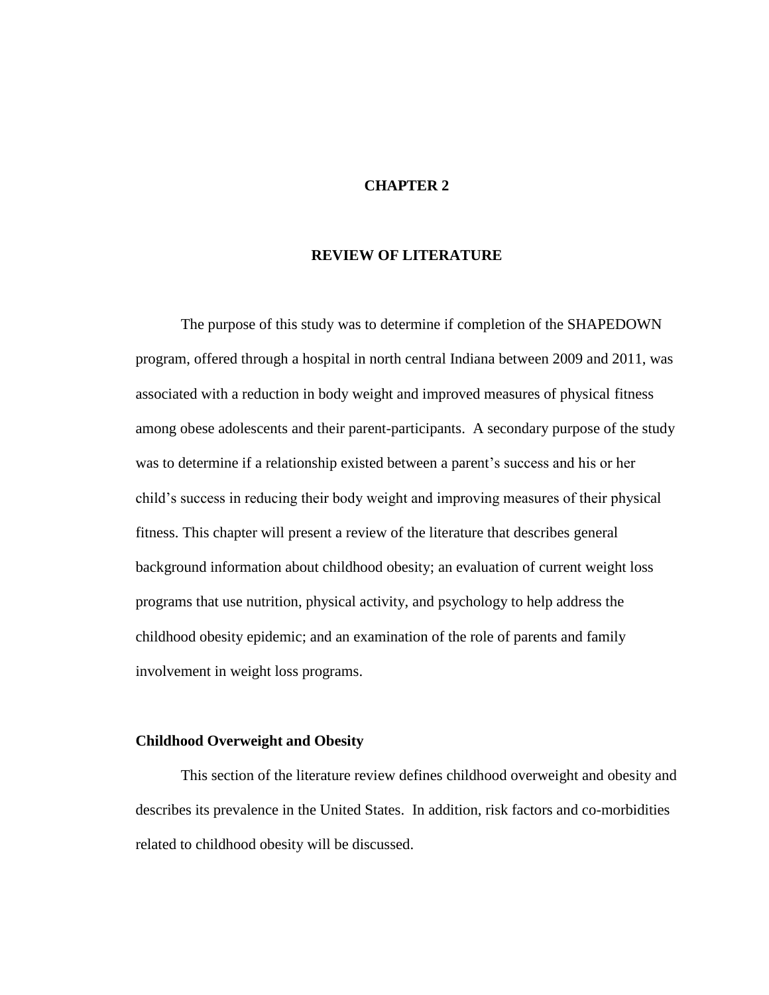# **CHAPTER 2**

### **REVIEW OF LITERATURE**

The purpose of this study was to determine if completion of the SHAPEDOWN program, offered through a hospital in north central Indiana between 2009 and 2011, was associated with a reduction in body weight and improved measures of physical fitness among obese adolescents and their parent-participants. A secondary purpose of the study was to determine if a relationship existed between a parent's success and his or her child's success in reducing their body weight and improving measures of their physical fitness. This chapter will present a review of the literature that describes general background information about childhood obesity; an evaluation of current weight loss programs that use nutrition, physical activity, and psychology to help address the childhood obesity epidemic; and an examination of the role of parents and family involvement in weight loss programs.

# **Childhood Overweight and Obesity**

This section of the literature review defines childhood overweight and obesity and describes its prevalence in the United States. In addition, risk factors and co-morbidities related to childhood obesity will be discussed.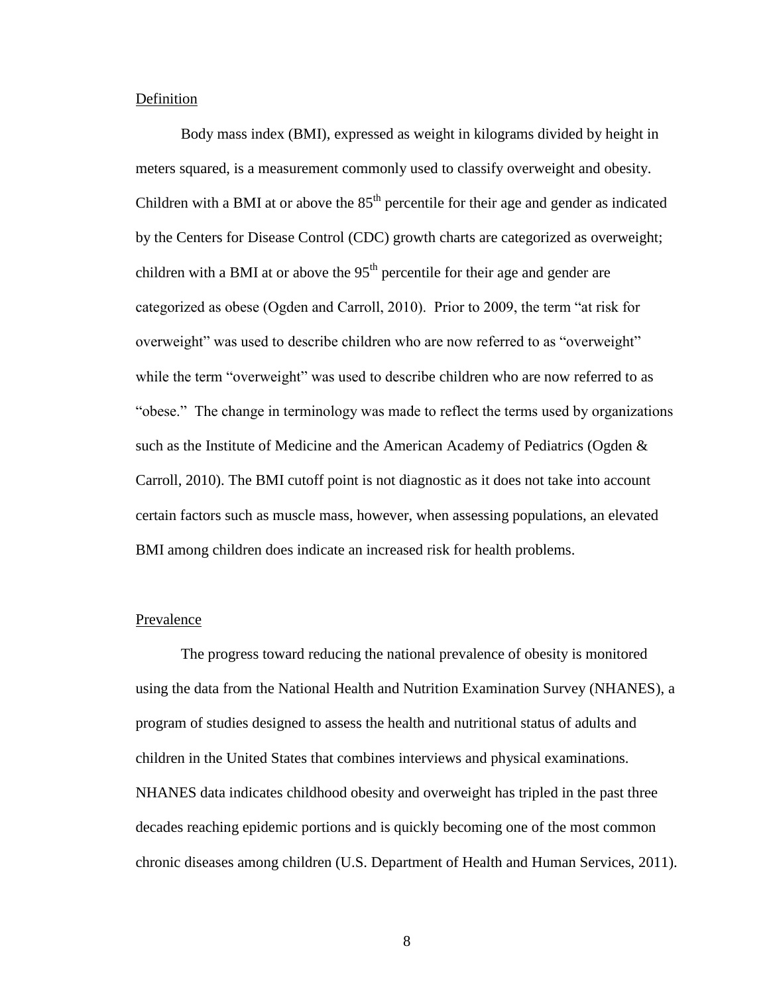#### Definition

Body mass index (BMI), expressed as weight in kilograms divided by height in meters squared, is a measurement commonly used to classify overweight and obesity. Children with a BMI at or above the  $85<sup>th</sup>$  percentile for their age and gender as indicated by the Centers for Disease Control (CDC) growth charts are categorized as overweight; children with a BMI at or above the  $95<sup>th</sup>$  percentile for their age and gender are categorized as obese (Ogden and Carroll, 2010). Prior to 2009, the term "at risk for overweight" was used to describe children who are now referred to as "overweight" while the term "overweight" was used to describe children who are now referred to as "obese." The change in terminology was made to reflect the terms used by organizations such as the Institute of Medicine and the American Academy of Pediatrics (Ogden & Carroll, 2010). The BMI cutoff point is not diagnostic as it does not take into account certain factors such as muscle mass, however, when assessing populations, an elevated BMI among children does indicate an increased risk for health problems.

### Prevalence

The progress toward reducing the national prevalence of obesity is monitored using the data from the National Health and Nutrition Examination Survey (NHANES), a program of studies designed to assess the health and nutritional status of adults and children in the United States that combines interviews and physical examinations. NHANES data indicates childhood obesity and overweight has tripled in the past three decades reaching epidemic portions and is quickly becoming one of the most common chronic diseases among children (U.S. Department of Health and Human Services, 2011).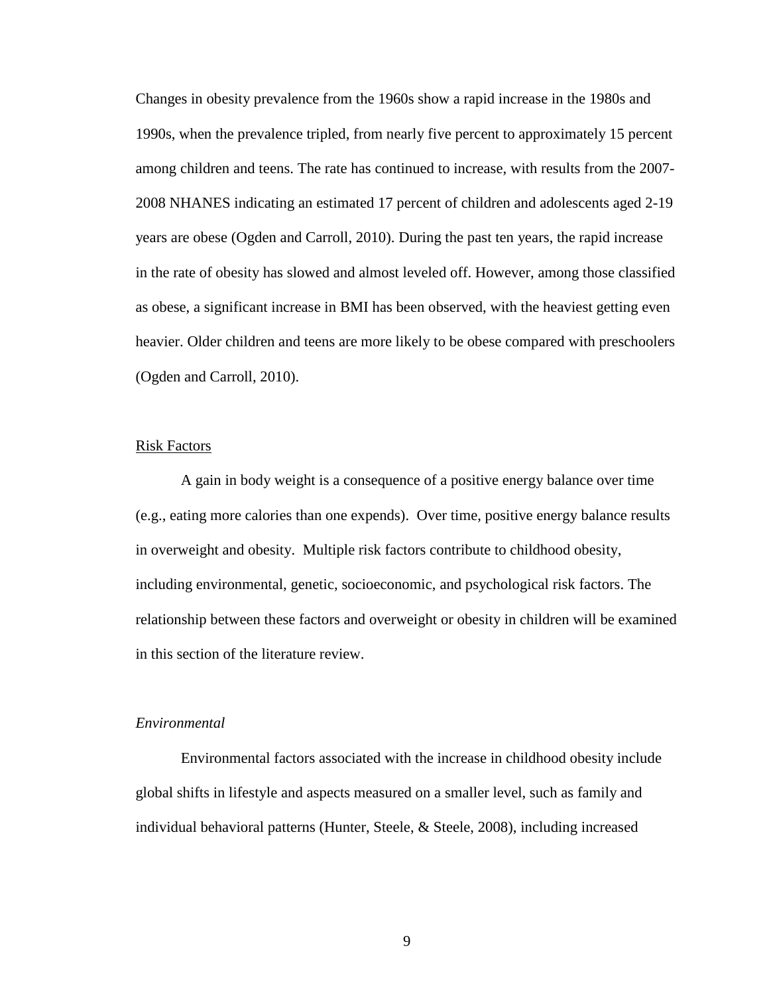Changes in obesity prevalence from the 1960s show a rapid increase in the 1980s and 1990s, when the prevalence tripled, from nearly five percent to approximately 15 percent among children and teens. The rate has continued to increase, with results from the 2007- 2008 NHANES indicating an estimated 17 percent of children and adolescents aged 2-19 years are obese (Ogden and Carroll, 2010). During the past ten years, the rapid increase in the rate of obesity has slowed and almost leveled off. However, among those classified as obese, a significant increase in BMI has been observed, with the heaviest getting even heavier. Older children and teens are more likely to be obese compared with preschoolers (Ogden and Carroll, 2010).

### Risk Factors

A gain in body weight is a consequence of a positive energy balance over time (e.g., eating more calories than one expends). Over time, positive energy balance results in overweight and obesity. Multiple risk factors contribute to childhood obesity, including environmental, genetic, socioeconomic, and psychological risk factors. The relationship between these factors and overweight or obesity in children will be examined in this section of the literature review.

# *Environmental*

Environmental factors associated with the increase in childhood obesity include global shifts in lifestyle and aspects measured on a smaller level, such as family and individual behavioral patterns (Hunter, Steele, & Steele, 2008), including increased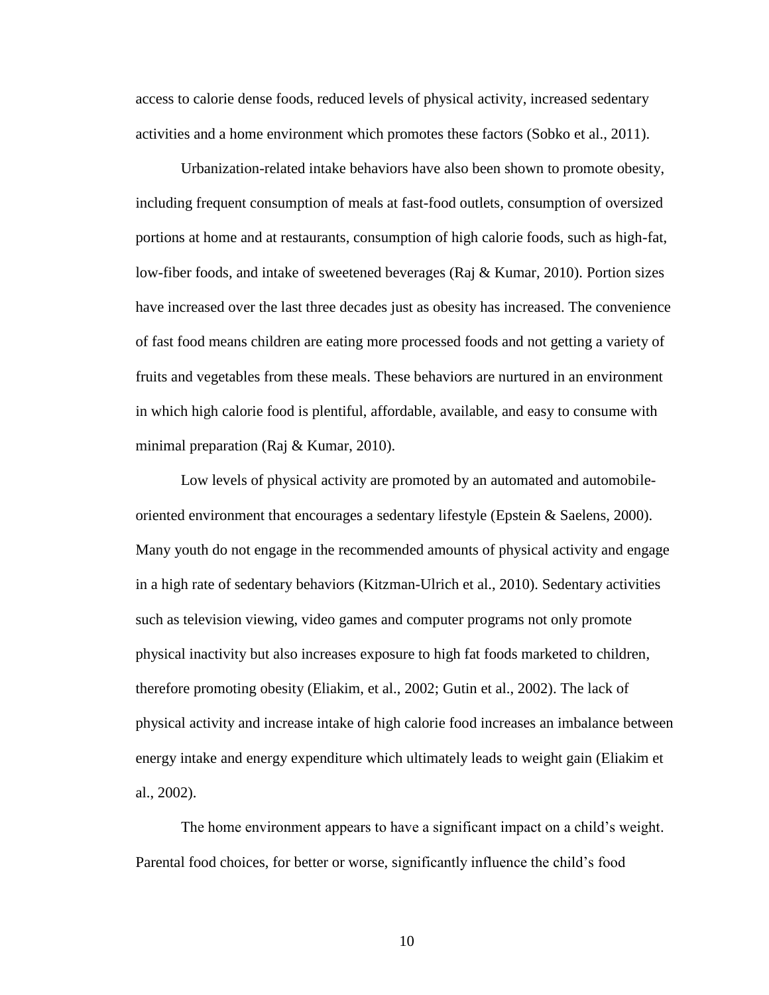access to calorie dense foods, reduced levels of physical activity, increased sedentary activities and a home environment which promotes these factors (Sobko et al., 2011).

Urbanization-related intake behaviors have also been shown to promote obesity, including frequent consumption of meals at fast-food outlets, consumption of oversized portions at home and at restaurants, consumption of high calorie foods, such as high-fat, low-fiber foods, and intake of sweetened beverages (Raj & Kumar, 2010). Portion sizes have increased over the last three decades just as obesity has increased. The convenience of fast food means children are eating more processed foods and not getting a variety of fruits and vegetables from these meals. These behaviors are nurtured in an environment in which high calorie food is plentiful, affordable, available, and easy to consume with minimal preparation (Raj & Kumar, 2010).

Low levels of physical activity are promoted by an automated and automobileoriented environment that encourages a sedentary lifestyle (Epstein & Saelens, 2000). Many youth do not engage in the recommended amounts of physical activity and engage in a high rate of sedentary behaviors (Kitzman-Ulrich et al., 2010). Sedentary activities such as television viewing, video games and computer programs not only promote physical inactivity but also increases exposure to high fat foods marketed to children, therefore promoting obesity (Eliakim, et al., 2002; Gutin et al., 2002). The lack of physical activity and increase intake of high calorie food increases an imbalance between energy intake and energy expenditure which ultimately leads to weight gain (Eliakim et al., 2002).

The home environment appears to have a significant impact on a child's weight. Parental food choices, for better or worse, significantly influence the child's food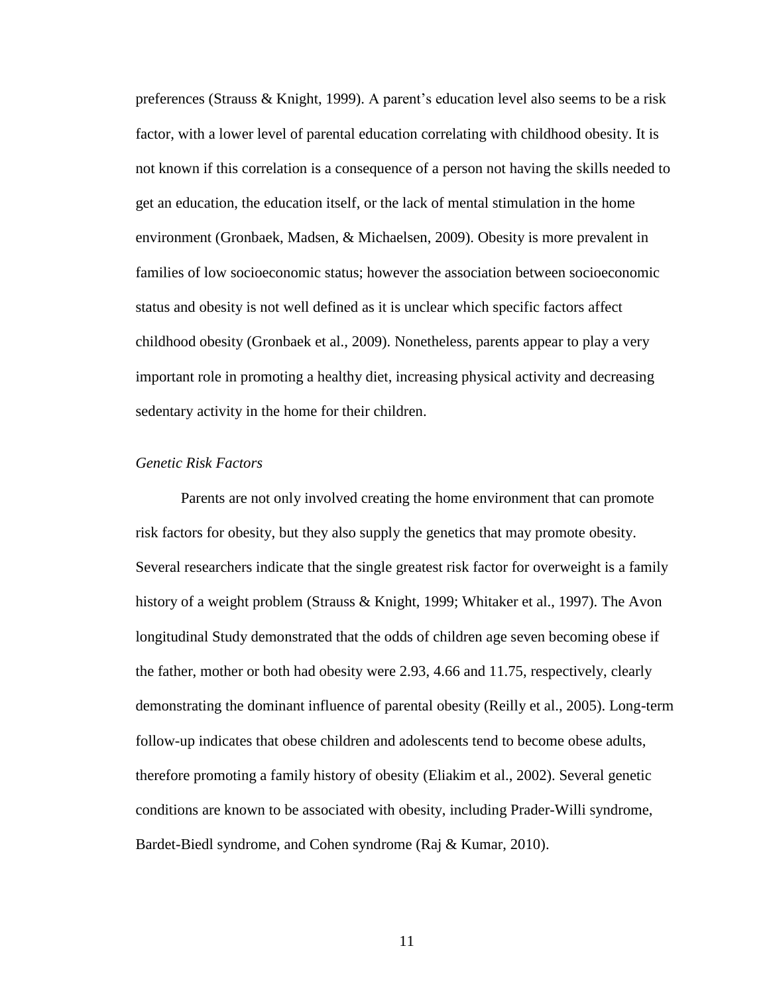preferences (Strauss & Knight, 1999). A parent's education level also seems to be a risk factor, with a lower level of parental education correlating with childhood obesity. It is not known if this correlation is a consequence of a person not having the skills needed to get an education, the education itself, or the lack of mental stimulation in the home environment (Gronbaek, Madsen, & Michaelsen, 2009). Obesity is more prevalent in families of low socioeconomic status; however the association between socioeconomic status and obesity is not well defined as it is unclear which specific factors affect childhood obesity (Gronbaek et al., 2009). Nonetheless, parents appear to play a very important role in promoting a healthy diet, increasing physical activity and decreasing sedentary activity in the home for their children.

# *Genetic Risk Factors*

Parents are not only involved creating the home environment that can promote risk factors for obesity, but they also supply the genetics that may promote obesity. Several researchers indicate that the single greatest risk factor for overweight is a family history of a weight problem (Strauss & Knight, 1999; Whitaker et al., 1997). The Avon longitudinal Study demonstrated that the odds of children age seven becoming obese if the father, mother or both had obesity were 2.93, 4.66 and 11.75, respectively, clearly demonstrating the dominant influence of parental obesity (Reilly et al., 2005). Long-term follow-up indicates that obese children and adolescents tend to become obese adults, therefore promoting a family history of obesity (Eliakim et al., 2002). Several genetic conditions are known to be associated with obesity, including Prader-Willi syndrome, Bardet-Biedl syndrome, and Cohen syndrome (Raj & Kumar, 2010).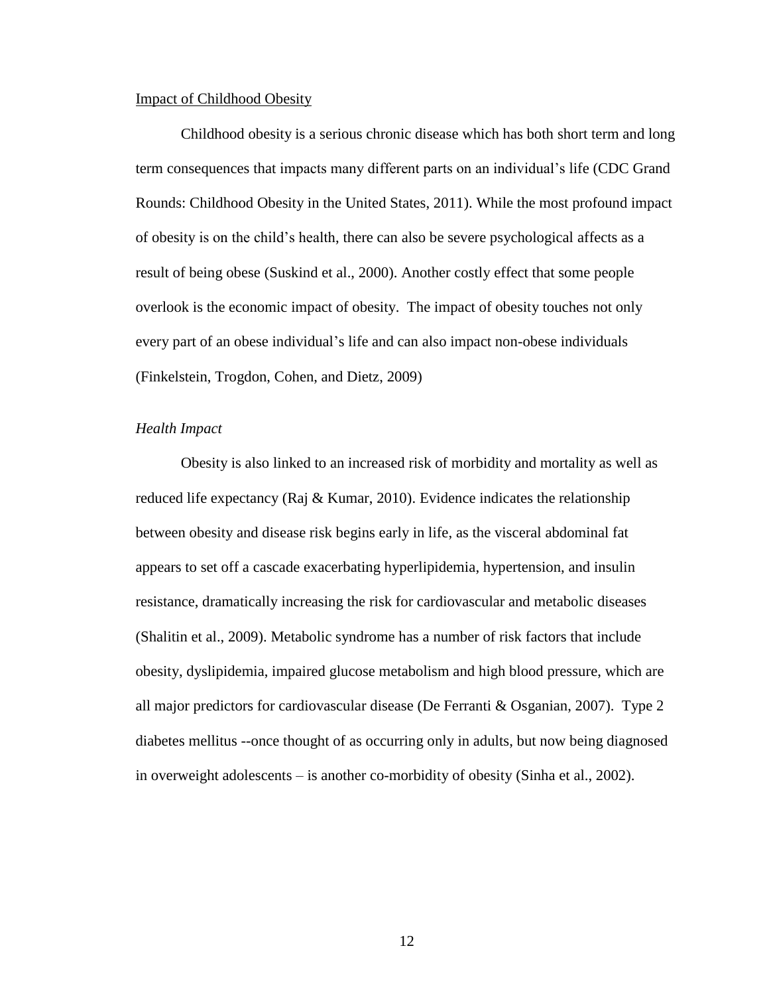#### Impact of Childhood Obesity

Childhood obesity is a serious chronic disease which has both short term and long term consequences that impacts many different parts on an individual's life (CDC Grand Rounds: Childhood Obesity in the United States, 2011). While the most profound impact of obesity is on the child's health, there can also be severe psychological affects as a result of being obese (Suskind et al., 2000). Another costly effect that some people overlook is the economic impact of obesity. The impact of obesity touches not only every part of an obese individual's life and can also impact non-obese individuals (Finkelstein, Trogdon, Cohen, and Dietz, 2009)

# *Health Impact*

Obesity is also linked to an increased risk of morbidity and mortality as well as reduced life expectancy (Raj & Kumar, 2010). Evidence indicates the relationship between obesity and disease risk begins early in life, as the visceral abdominal fat appears to set off a cascade exacerbating hyperlipidemia, hypertension, and insulin resistance, dramatically increasing the risk for cardiovascular and metabolic diseases (Shalitin et al., 2009). Metabolic syndrome has a number of risk factors that include obesity, dyslipidemia, impaired glucose metabolism and high blood pressure, which are all major predictors for cardiovascular disease (De Ferranti & Osganian, 2007). Type 2 diabetes mellitus --once thought of as occurring only in adults, but now being diagnosed in overweight adolescents – is another co-morbidity of obesity (Sinha et al., 2002).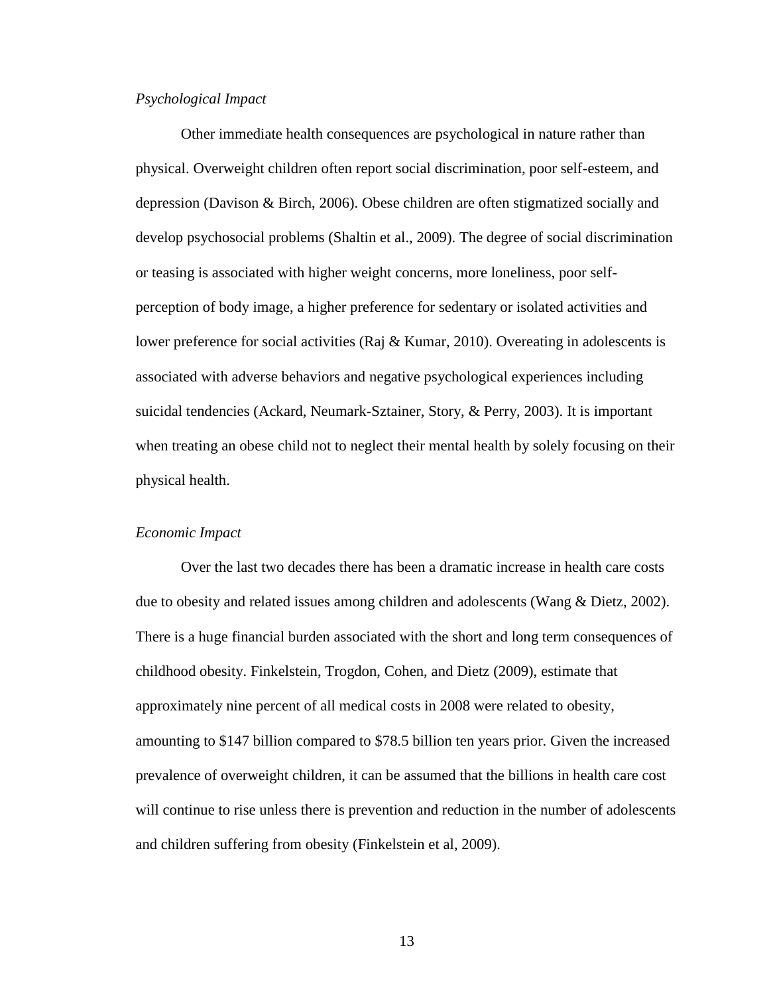# *Psychological Impact*

Other immediate health consequences are psychological in nature rather than physical. Overweight children often report social discrimination, poor self-esteem, and depression (Davison & Birch, 2006). Obese children are often stigmatized socially and develop psychosocial problems (Shaltin et al., 2009). The degree of social discrimination or teasing is associated with higher weight concerns, more loneliness, poor selfperception of body image, a higher preference for sedentary or isolated activities and lower preference for social activities (Raj & Kumar, 2010). Overeating in adolescents is associated with adverse behaviors and negative psychological experiences including suicidal tendencies (Ackard, Neumark-Sztainer, Story, & Perry, 2003). It is important when treating an obese child not to neglect their mental health by solely focusing on their physical health.

# *Economic Impact*

Over the last two decades there has been a dramatic increase in health care costs due to obesity and related issues among children and adolescents (Wang & Dietz, 2002). There is a huge financial burden associated with the short and long term consequences of childhood obesity. Finkelstein, Trogdon, Cohen, and Dietz (2009), estimate that approximately nine percent of all medical costs in 2008 were related to obesity, amounting to \$147 billion compared to \$78.5 billion ten years prior. Given the increased prevalence of overweight children, it can be assumed that the billions in health care cost will continue to rise unless there is prevention and reduction in the number of adolescents and children suffering from obesity (Finkelstein et al, 2009).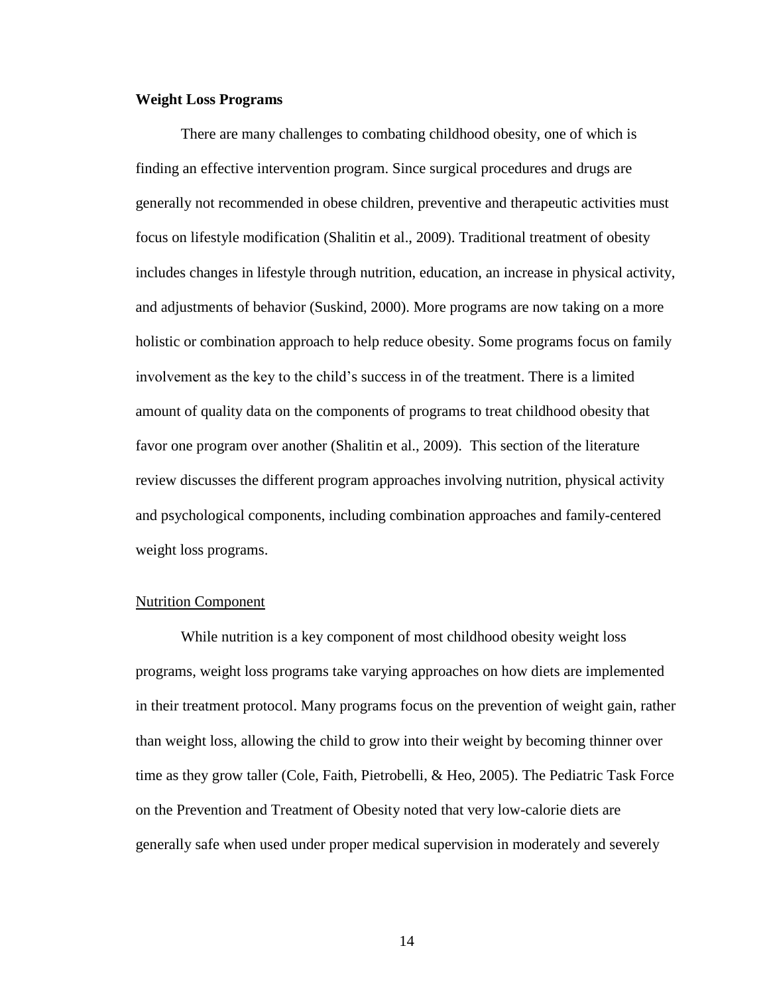#### **Weight Loss Programs**

There are many challenges to combating childhood obesity, one of which is finding an effective intervention program. Since surgical procedures and drugs are generally not recommended in obese children, preventive and therapeutic activities must focus on lifestyle modification (Shalitin et al., 2009). Traditional treatment of obesity includes changes in lifestyle through nutrition, education, an increase in physical activity, and adjustments of behavior (Suskind, 2000). More programs are now taking on a more holistic or combination approach to help reduce obesity. Some programs focus on family involvement as the key to the child's success in of the treatment. There is a limited amount of quality data on the components of programs to treat childhood obesity that favor one program over another (Shalitin et al., 2009). This section of the literature review discusses the different program approaches involving nutrition, physical activity and psychological components, including combination approaches and family-centered weight loss programs.

# Nutrition Component

While nutrition is a key component of most childhood obesity weight loss programs, weight loss programs take varying approaches on how diets are implemented in their treatment protocol. Many programs focus on the prevention of weight gain, rather than weight loss, allowing the child to grow into their weight by becoming thinner over time as they grow taller (Cole, Faith, Pietrobelli, & Heo, 2005). The Pediatric Task Force on the Prevention and Treatment of Obesity noted that very low-calorie diets are generally safe when used under proper medical supervision in moderately and severely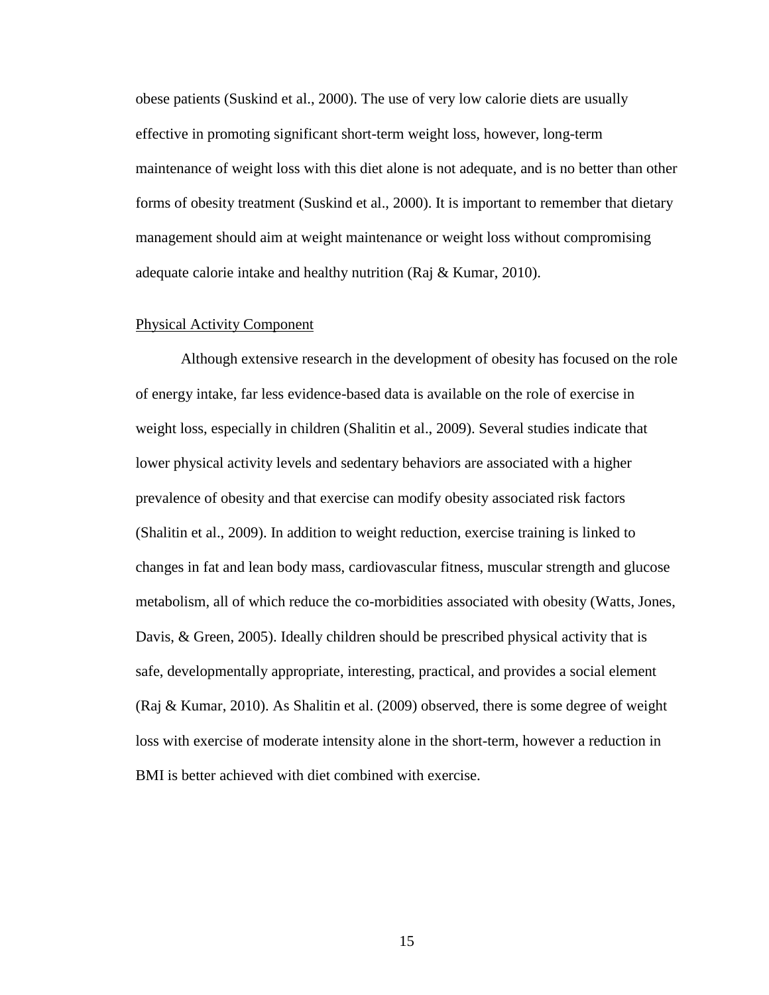obese patients (Suskind et al., 2000). The use of very low calorie diets are usually effective in promoting significant short-term weight loss, however, long-term maintenance of weight loss with this diet alone is not adequate, and is no better than other forms of obesity treatment (Suskind et al., 2000). It is important to remember that dietary management should aim at weight maintenance or weight loss without compromising adequate calorie intake and healthy nutrition (Raj & Kumar, 2010).

# Physical Activity Component

Although extensive research in the development of obesity has focused on the role of energy intake, far less evidence-based data is available on the role of exercise in weight loss, especially in children (Shalitin et al., 2009). Several studies indicate that lower physical activity levels and sedentary behaviors are associated with a higher prevalence of obesity and that exercise can modify obesity associated risk factors (Shalitin et al., 2009). In addition to weight reduction, exercise training is linked to changes in fat and lean body mass, cardiovascular fitness, muscular strength and glucose metabolism, all of which reduce the co-morbidities associated with obesity (Watts, Jones, Davis, & Green, 2005). Ideally children should be prescribed physical activity that is safe, developmentally appropriate, interesting, practical, and provides a social element (Raj & Kumar, 2010). As Shalitin et al. (2009) observed, there is some degree of weight loss with exercise of moderate intensity alone in the short-term, however a reduction in BMI is better achieved with diet combined with exercise.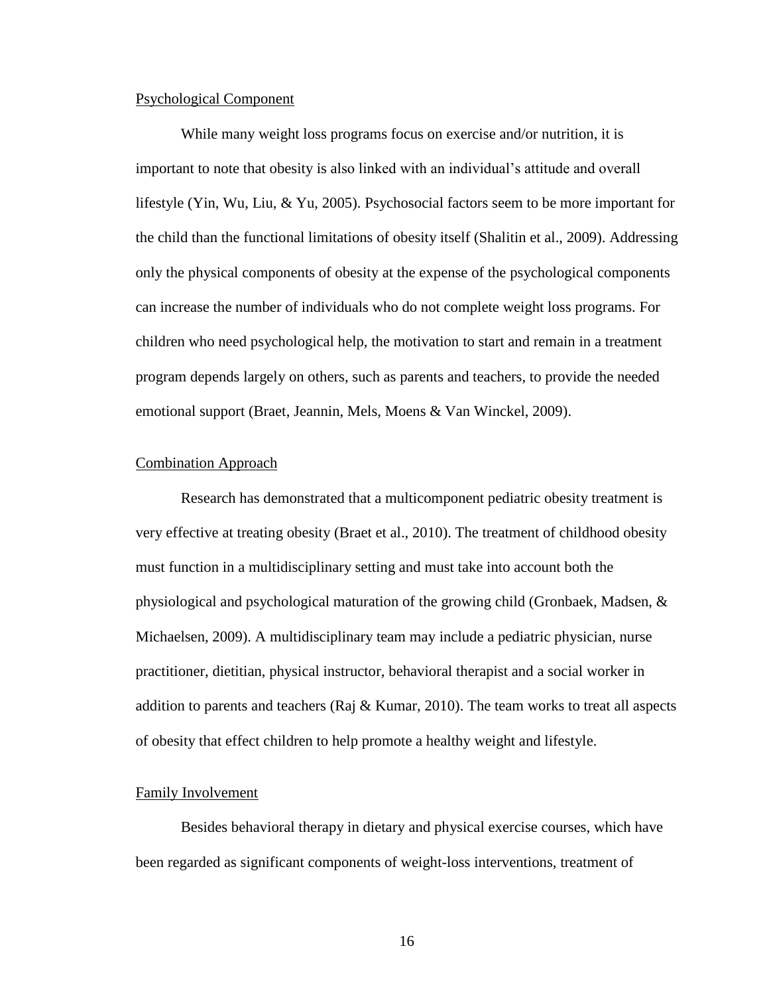#### Psychological Component

While many weight loss programs focus on exercise and/or nutrition, it is important to note that obesity is also linked with an individual's attitude and overall lifestyle (Yin, Wu, Liu, & Yu, 2005). Psychosocial factors seem to be more important for the child than the functional limitations of obesity itself (Shalitin et al., 2009). Addressing only the physical components of obesity at the expense of the psychological components can increase the number of individuals who do not complete weight loss programs. For children who need psychological help, the motivation to start and remain in a treatment program depends largely on others, such as parents and teachers, to provide the needed emotional support (Braet, Jeannin, Mels, Moens & Van Winckel, 2009).

### Combination Approach

Research has demonstrated that a multicomponent pediatric obesity treatment is very effective at treating obesity (Braet et al., 2010). The treatment of childhood obesity must function in a multidisciplinary setting and must take into account both the physiological and psychological maturation of the growing child (Gronbaek, Madsen, & Michaelsen, 2009). A multidisciplinary team may include a pediatric physician, nurse practitioner, dietitian, physical instructor, behavioral therapist and a social worker in addition to parents and teachers (Raj  $\&$  Kumar, 2010). The team works to treat all aspects of obesity that effect children to help promote a healthy weight and lifestyle.

#### Family Involvement

Besides behavioral therapy in dietary and physical exercise courses, which have been regarded as significant components of weight-loss interventions, treatment of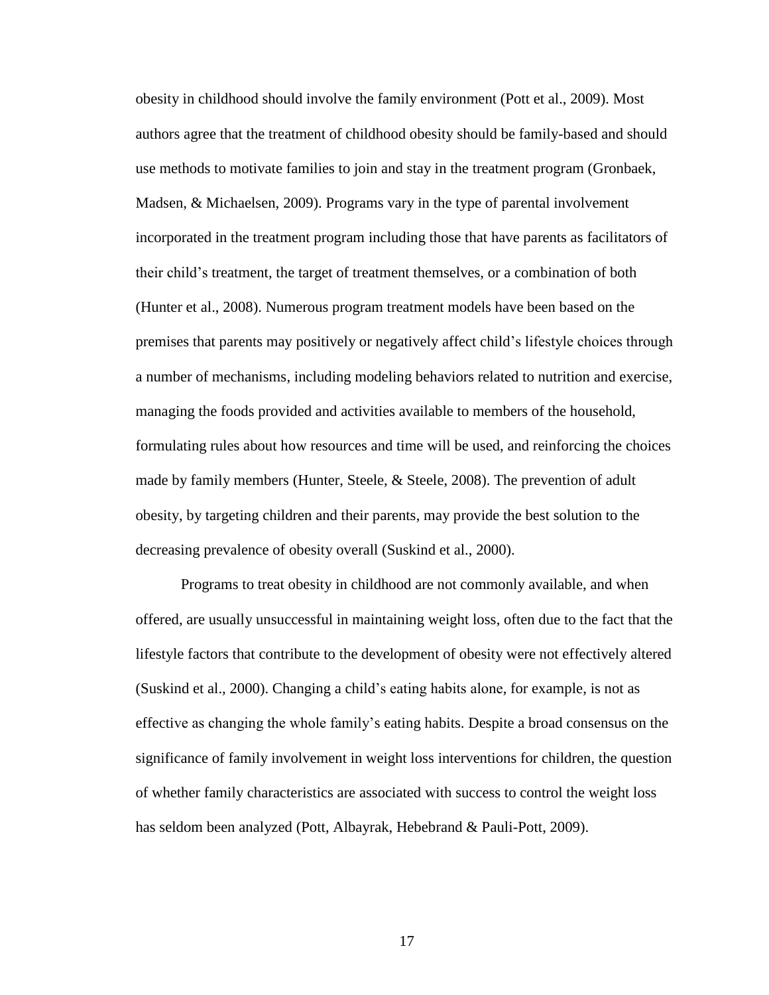obesity in childhood should involve the family environment (Pott et al., 2009). Most authors agree that the treatment of childhood obesity should be family-based and should use methods to motivate families to join and stay in the treatment program (Gronbaek, Madsen, & Michaelsen, 2009). Programs vary in the type of parental involvement incorporated in the treatment program including those that have parents as facilitators of their child's treatment, the target of treatment themselves, or a combination of both (Hunter et al., 2008). Numerous program treatment models have been based on the premises that parents may positively or negatively affect child's lifestyle choices through a number of mechanisms, including modeling behaviors related to nutrition and exercise, managing the foods provided and activities available to members of the household, formulating rules about how resources and time will be used, and reinforcing the choices made by family members (Hunter, Steele,  $\&$  Steele, 2008). The prevention of adult obesity, by targeting children and their parents, may provide the best solution to the decreasing prevalence of obesity overall (Suskind et al., 2000).

Programs to treat obesity in childhood are not commonly available, and when offered, are usually unsuccessful in maintaining weight loss, often due to the fact that the lifestyle factors that contribute to the development of obesity were not effectively altered (Suskind et al., 2000). Changing a child's eating habits alone, for example, is not as effective as changing the whole family's eating habits. Despite a broad consensus on the significance of family involvement in weight loss interventions for children, the question of whether family characteristics are associated with success to control the weight loss has seldom been analyzed (Pott, Albayrak, Hebebrand & Pauli-Pott, 2009).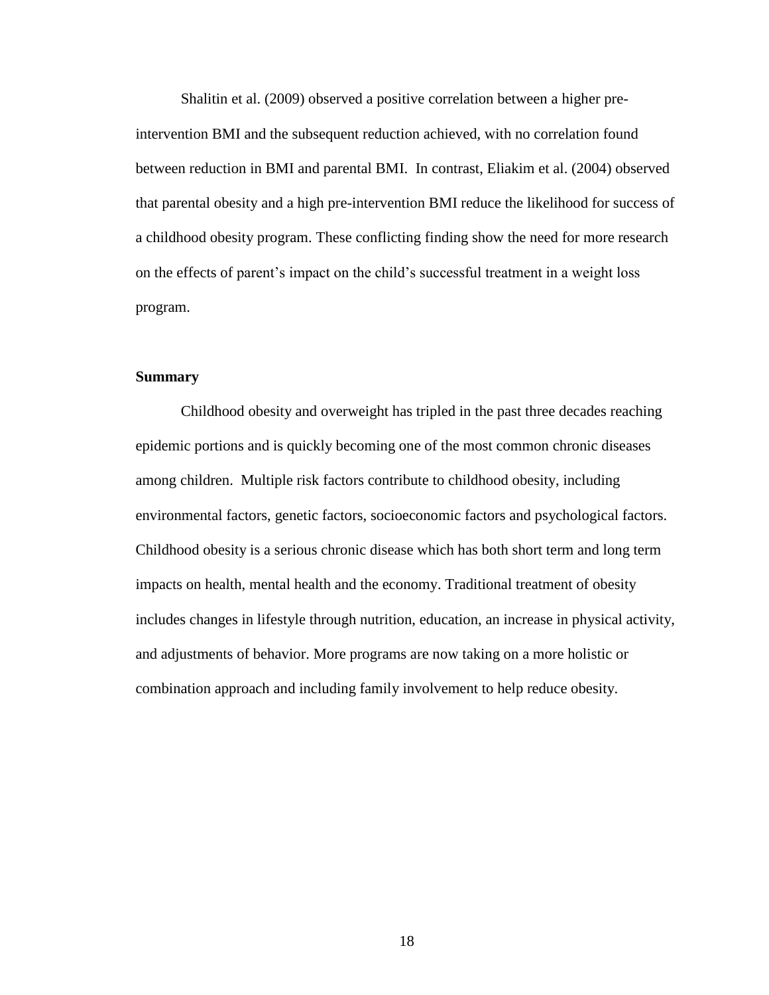Shalitin et al. (2009) observed a positive correlation between a higher preintervention BMI and the subsequent reduction achieved, with no correlation found between reduction in BMI and parental BMI. In contrast, Eliakim et al. (2004) observed that parental obesity and a high pre-intervention BMI reduce the likelihood for success of a childhood obesity program. These conflicting finding show the need for more research on the effects of parent's impact on the child's successful treatment in a weight loss program.

# **Summary**

Childhood obesity and overweight has tripled in the past three decades reaching epidemic portions and is quickly becoming one of the most common chronic diseases among children. Multiple risk factors contribute to childhood obesity, including environmental factors, genetic factors, socioeconomic factors and psychological factors. Childhood obesity is a serious chronic disease which has both short term and long term impacts on health, mental health and the economy. Traditional treatment of obesity includes changes in lifestyle through nutrition, education, an increase in physical activity, and adjustments of behavior. More programs are now taking on a more holistic or combination approach and including family involvement to help reduce obesity.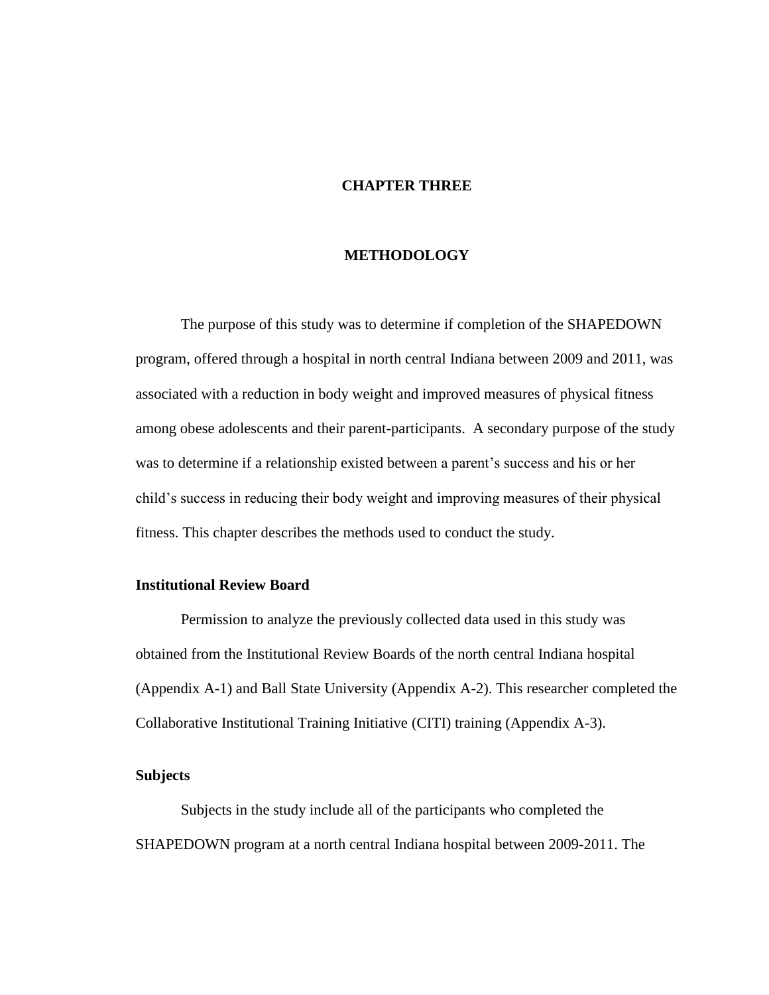# **CHAPTER THREE**

# **METHODOLOGY**

The purpose of this study was to determine if completion of the SHAPEDOWN program, offered through a hospital in north central Indiana between 2009 and 2011, was associated with a reduction in body weight and improved measures of physical fitness among obese adolescents and their parent-participants. A secondary purpose of the study was to determine if a relationship existed between a parent's success and his or her child's success in reducing their body weight and improving measures of their physical fitness. This chapter describes the methods used to conduct the study.

### **Institutional Review Board**

Permission to analyze the previously collected data used in this study was obtained from the Institutional Review Boards of the north central Indiana hospital (Appendix A-1) and Ball State University (Appendix A-2). This researcher completed the Collaborative Institutional Training Initiative (CITI) training (Appendix A-3).

# **Subjects**

Subjects in the study include all of the participants who completed the SHAPEDOWN program at a north central Indiana hospital between 2009-2011. The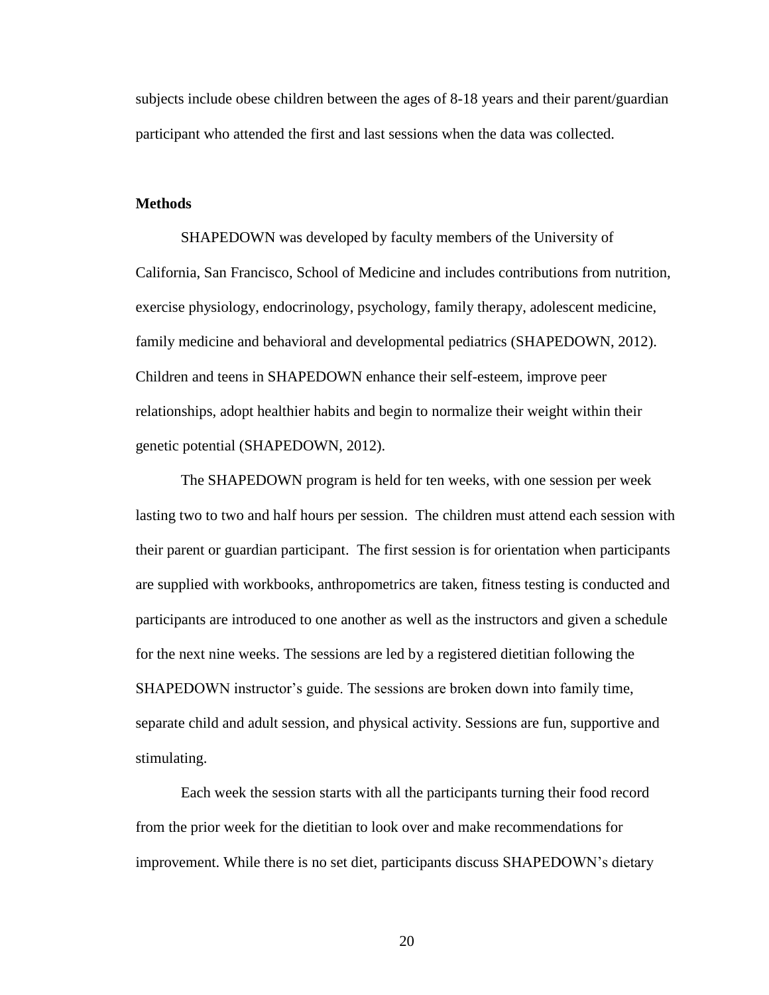subjects include obese children between the ages of 8-18 years and their parent/guardian participant who attended the first and last sessions when the data was collected.

### **Methods**

SHAPEDOWN was developed by faculty members of the University of California, San Francisco, School of Medicine and includes contributions from nutrition, exercise physiology, endocrinology, psychology, family therapy, adolescent medicine, family medicine and behavioral and developmental pediatrics (SHAPEDOWN, 2012). Children and teens in SHAPEDOWN enhance their self-esteem, improve peer relationships, adopt healthier habits and begin to normalize their weight within their genetic potential (SHAPEDOWN, 2012).

The SHAPEDOWN program is held for ten weeks, with one session per week lasting two to two and half hours per session. The children must attend each session with their parent or guardian participant. The first session is for orientation when participants are supplied with workbooks, anthropometrics are taken, fitness testing is conducted and participants are introduced to one another as well as the instructors and given a schedule for the next nine weeks. The sessions are led by a registered dietitian following the SHAPEDOWN instructor's guide. The sessions are broken down into family time, separate child and adult session, and physical activity. Sessions are fun, supportive and stimulating.

Each week the session starts with all the participants turning their food record from the prior week for the dietitian to look over and make recommendations for improvement. While there is no set diet, participants discuss SHAPEDOWN's dietary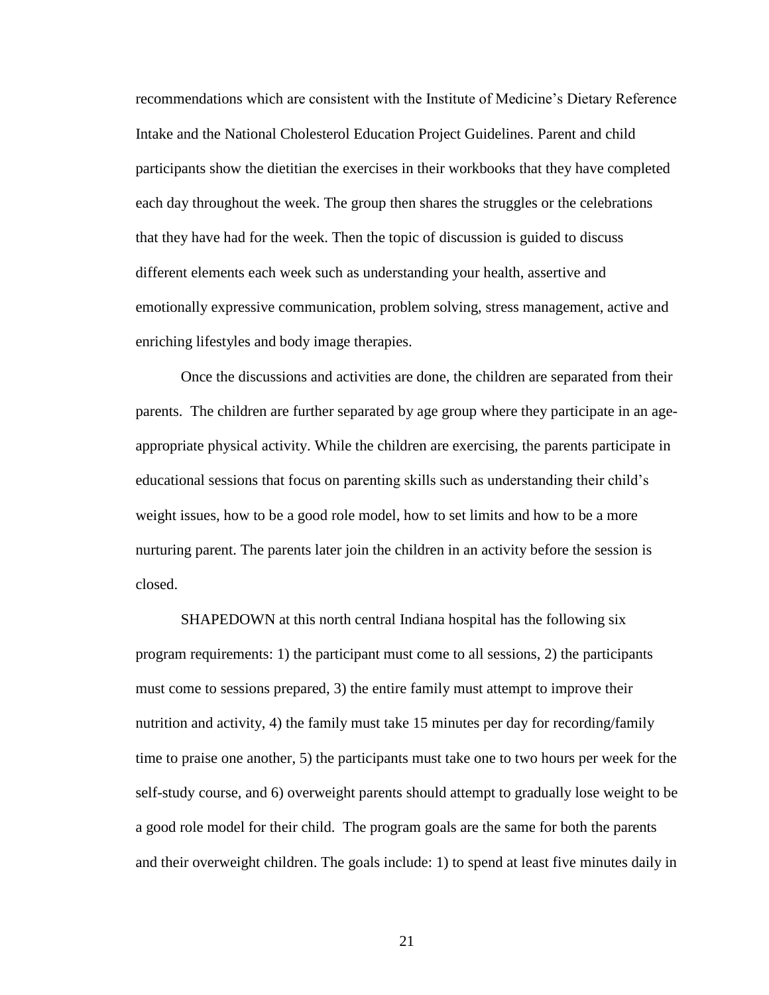recommendations which are consistent with the Institute of Medicine's Dietary Reference Intake and the National Cholesterol Education Project Guidelines. Parent and child participants show the dietitian the exercises in their workbooks that they have completed each day throughout the week. The group then shares the struggles or the celebrations that they have had for the week. Then the topic of discussion is guided to discuss different elements each week such as understanding your health, assertive and emotionally expressive communication, problem solving, stress management, active and enriching lifestyles and body image therapies.

Once the discussions and activities are done, the children are separated from their parents. The children are further separated by age group where they participate in an ageappropriate physical activity. While the children are exercising, the parents participate in educational sessions that focus on parenting skills such as understanding their child's weight issues, how to be a good role model, how to set limits and how to be a more nurturing parent. The parents later join the children in an activity before the session is closed.

SHAPEDOWN at this north central Indiana hospital has the following six program requirements: 1) the participant must come to all sessions, 2) the participants must come to sessions prepared, 3) the entire family must attempt to improve their nutrition and activity, 4) the family must take 15 minutes per day for recording/family time to praise one another, 5) the participants must take one to two hours per week for the self-study course, and 6) overweight parents should attempt to gradually lose weight to be a good role model for their child. The program goals are the same for both the parents and their overweight children. The goals include: 1) to spend at least five minutes daily in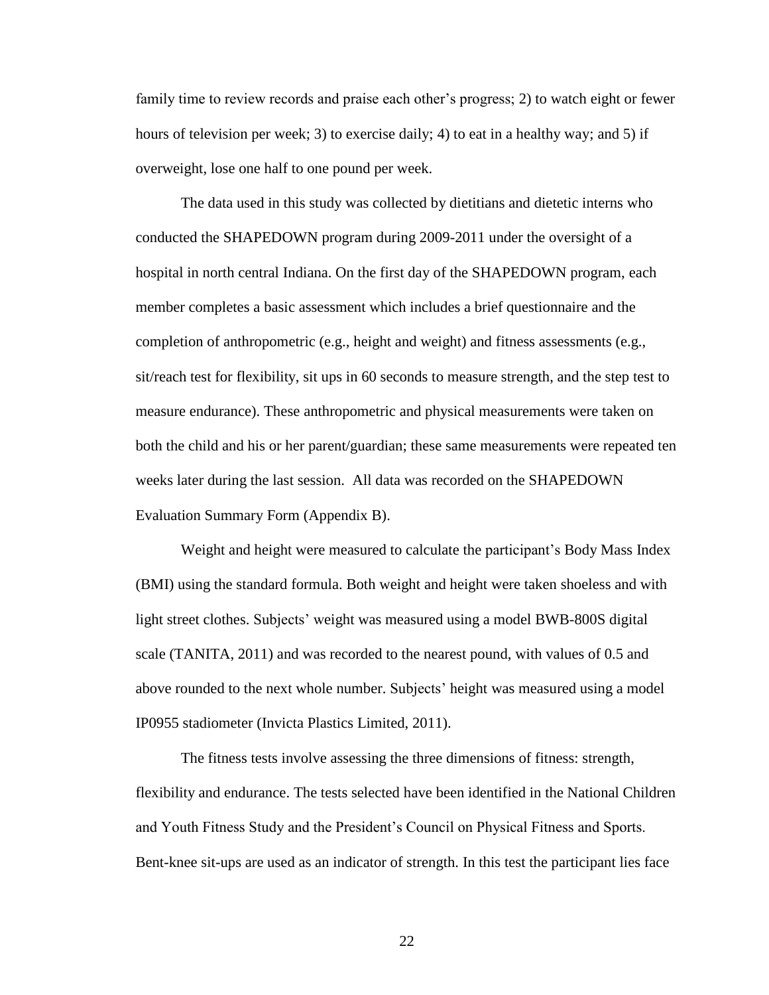family time to review records and praise each other's progress; 2) to watch eight or fewer hours of television per week; 3) to exercise daily; 4) to eat in a healthy way; and 5) if overweight, lose one half to one pound per week.

The data used in this study was collected by dietitians and dietetic interns who conducted the SHAPEDOWN program during 2009-2011 under the oversight of a hospital in north central Indiana. On the first day of the SHAPEDOWN program, each member completes a basic assessment which includes a brief questionnaire and the completion of anthropometric (e.g., height and weight) and fitness assessments (e.g., sit/reach test for flexibility, sit ups in 60 seconds to measure strength, and the step test to measure endurance). These anthropometric and physical measurements were taken on both the child and his or her parent/guardian; these same measurements were repeated ten weeks later during the last session. All data was recorded on the SHAPEDOWN Evaluation Summary Form (Appendix B).

Weight and height were measured to calculate the participant's Body Mass Index (BMI) using the standard formula. Both weight and height were taken shoeless and with light street clothes. Subjects' weight was measured using a model BWB-800S digital scale (TANITA, 2011) and was recorded to the nearest pound, with values of 0.5 and above rounded to the next whole number. Subjects' height was measured using a model IP0955 stadiometer (Invicta Plastics Limited, 2011).

The fitness tests involve assessing the three dimensions of fitness: strength, flexibility and endurance. The tests selected have been identified in the National Children and Youth Fitness Study and the President's Council on Physical Fitness and Sports. Bent-knee sit-ups are used as an indicator of strength. In this test the participant lies face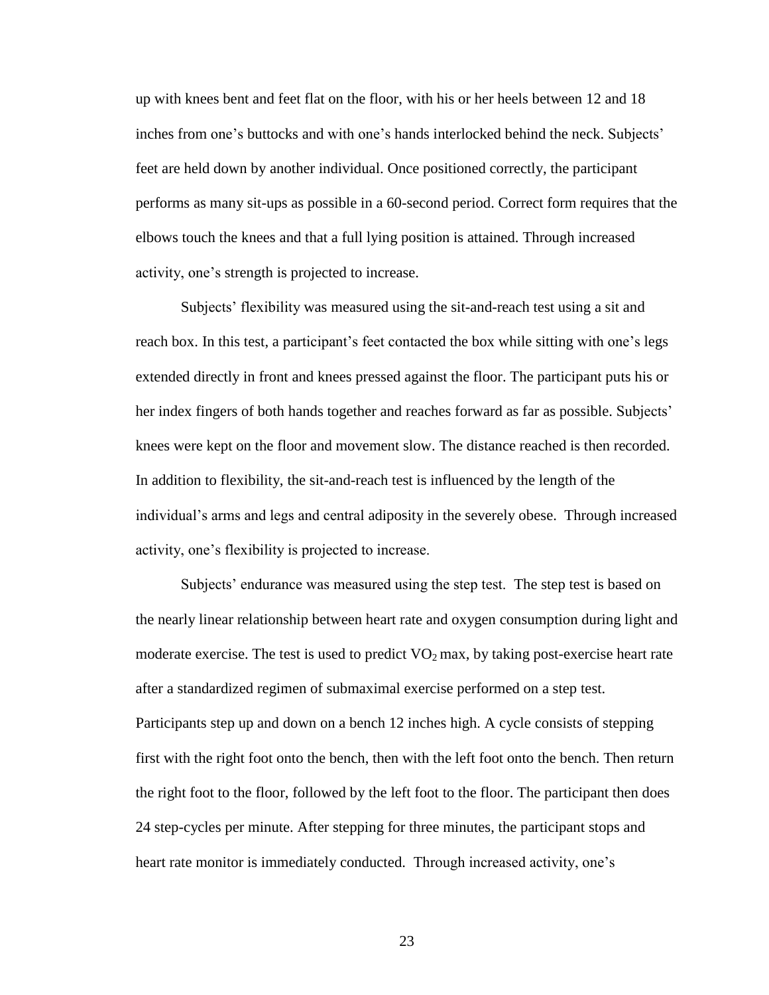up with knees bent and feet flat on the floor, with his or her heels between 12 and 18 inches from one's buttocks and with one's hands interlocked behind the neck. Subjects' feet are held down by another individual. Once positioned correctly, the participant performs as many sit-ups as possible in a 60-second period. Correct form requires that the elbows touch the knees and that a full lying position is attained. Through increased activity, one's strength is projected to increase.

Subjects' flexibility was measured using the sit-and-reach test using a sit and reach box. In this test, a participant's feet contacted the box while sitting with one's legs extended directly in front and knees pressed against the floor. The participant puts his or her index fingers of both hands together and reaches forward as far as possible. Subjects' knees were kept on the floor and movement slow. The distance reached is then recorded. In addition to flexibility, the sit-and-reach test is influenced by the length of the individual's arms and legs and central adiposity in the severely obese. Through increased activity, one's flexibility is projected to increase.

Subjects' endurance was measured using the step test. The step test is based on the nearly linear relationship between heart rate and oxygen consumption during light and moderate exercise. The test is used to predict  $VO<sub>2</sub>$  max, by taking post-exercise heart rate after a standardized regimen of submaximal exercise performed on a step test. Participants step up and down on a bench 12 inches high. A cycle consists of stepping first with the right foot onto the bench, then with the left foot onto the bench. Then return the right foot to the floor, followed by the left foot to the floor. The participant then does 24 step-cycles per minute. After stepping for three minutes, the participant stops and heart rate monitor is immediately conducted. Through increased activity, one's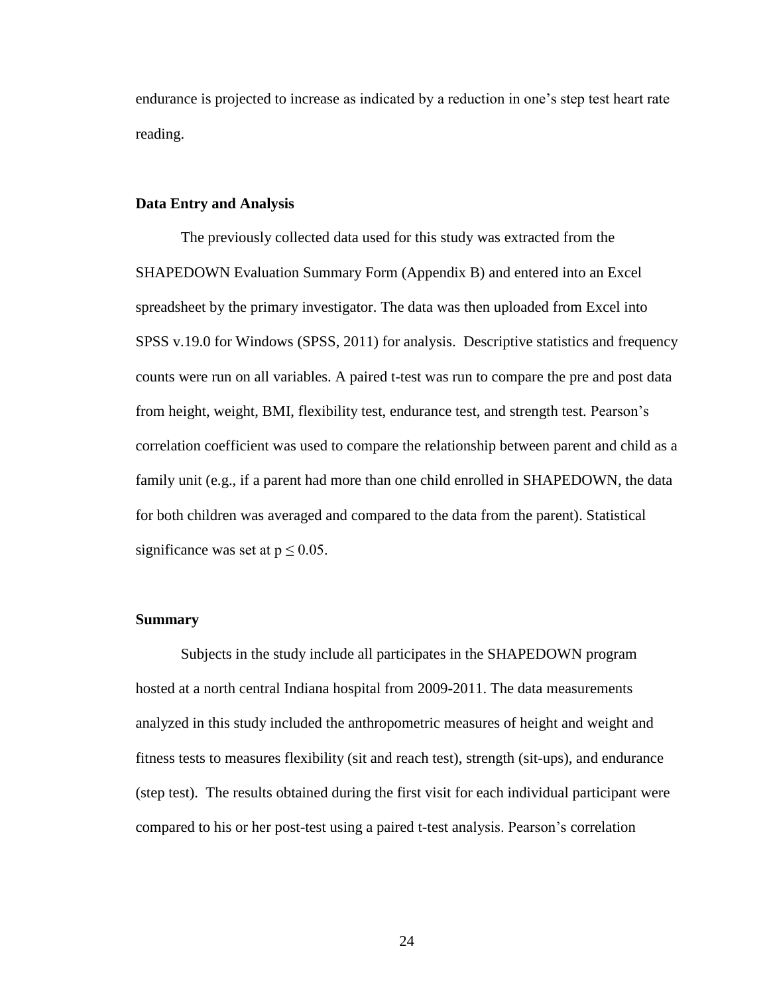endurance is projected to increase as indicated by a reduction in one's step test heart rate reading.

## **Data Entry and Analysis**

The previously collected data used for this study was extracted from the SHAPEDOWN Evaluation Summary Form (Appendix B) and entered into an Excel spreadsheet by the primary investigator. The data was then uploaded from Excel into SPSS v.19.0 for Windows (SPSS, 2011) for analysis. Descriptive statistics and frequency counts were run on all variables. A paired t-test was run to compare the pre and post data from height, weight, BMI, flexibility test, endurance test, and strength test. Pearson's correlation coefficient was used to compare the relationship between parent and child as a family unit (e.g., if a parent had more than one child enrolled in SHAPEDOWN, the data for both children was averaged and compared to the data from the parent). Statistical significance was set at  $p \le 0.05$ .

# **Summary**

Subjects in the study include all participates in the SHAPEDOWN program hosted at a north central Indiana hospital from 2009-2011. The data measurements analyzed in this study included the anthropometric measures of height and weight and fitness tests to measures flexibility (sit and reach test), strength (sit-ups), and endurance (step test). The results obtained during the first visit for each individual participant were compared to his or her post-test using a paired t-test analysis. Pearson's correlation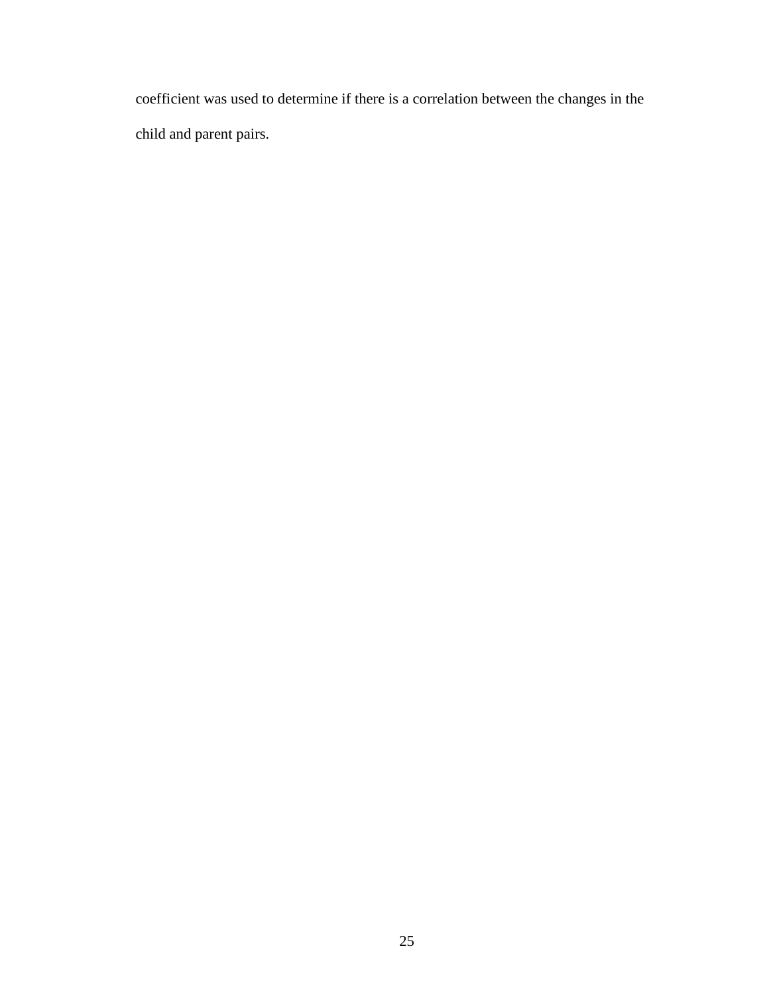coefficient was used to determine if there is a correlation between the changes in the child and parent pairs.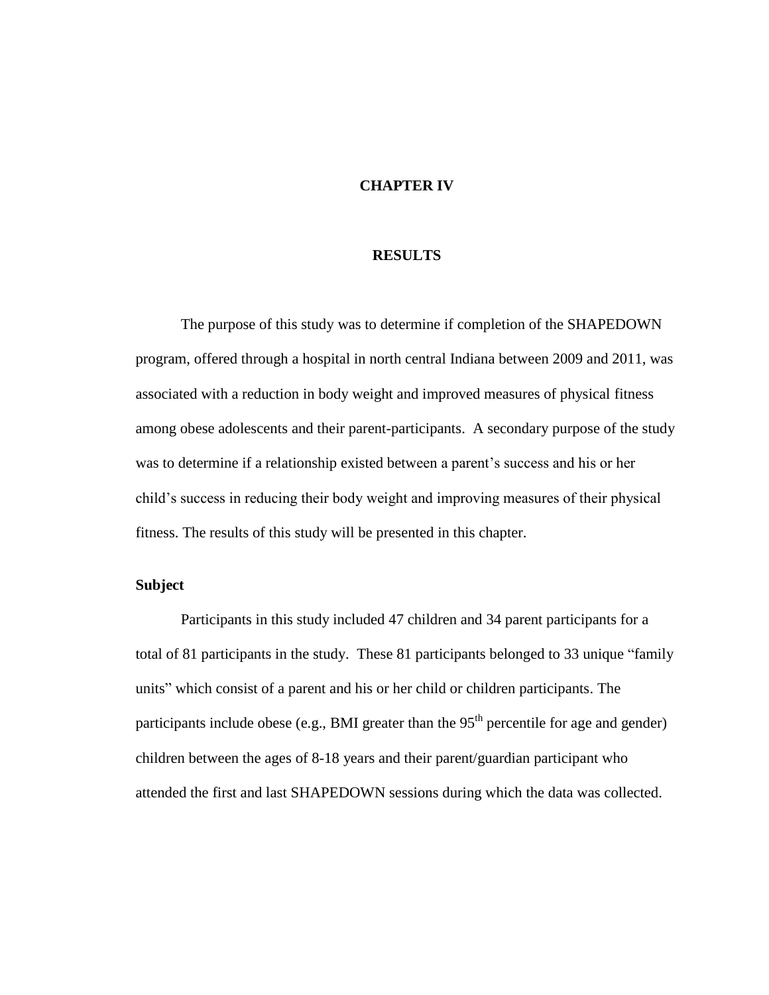# **CHAPTER IV**

### **RESULTS**

The purpose of this study was to determine if completion of the SHAPEDOWN program, offered through a hospital in north central Indiana between 2009 and 2011, was associated with a reduction in body weight and improved measures of physical fitness among obese adolescents and their parent-participants. A secondary purpose of the study was to determine if a relationship existed between a parent's success and his or her child's success in reducing their body weight and improving measures of their physical fitness. The results of this study will be presented in this chapter.

# **Subject**

Participants in this study included 47 children and 34 parent participants for a total of 81 participants in the study. These 81 participants belonged to 33 unique "family units" which consist of a parent and his or her child or children participants. The participants include obese (e.g., BMI greater than the  $95<sup>th</sup>$  percentile for age and gender) children between the ages of 8-18 years and their parent/guardian participant who attended the first and last SHAPEDOWN sessions during which the data was collected.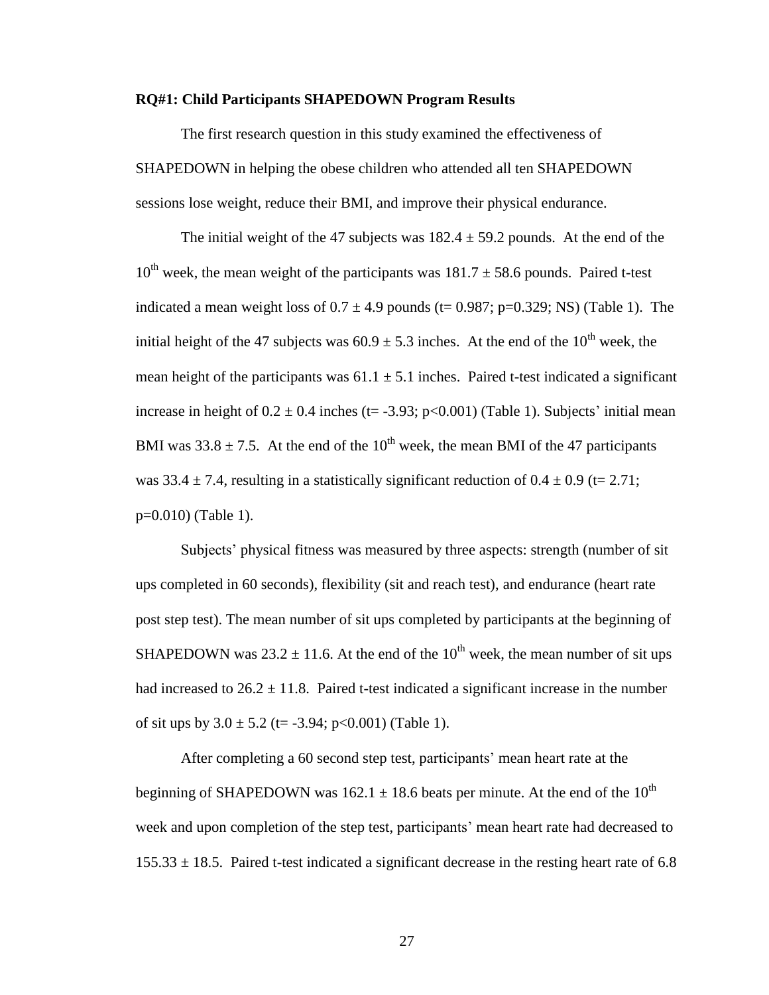#### **RQ#1: Child Participants SHAPEDOWN Program Results**

The first research question in this study examined the effectiveness of SHAPEDOWN in helping the obese children who attended all ten SHAPEDOWN sessions lose weight, reduce their BMI, and improve their physical endurance.

The initial weight of the 47 subjects was  $182.4 \pm 59.2$  pounds. At the end of the  $10^{th}$  week, the mean weight of the participants was  $181.7 \pm 58.6$  pounds. Paired t-test indicated a mean weight loss of  $0.7 \pm 4.9$  pounds (t= 0.987; p=0.329; NS) (Table 1). The initial height of the 47 subjects was  $60.9 \pm 5.3$  inches. At the end of the 10<sup>th</sup> week, the mean height of the participants was  $61.1 \pm 5.1$  inches. Paired t-test indicated a significant increase in height of  $0.2 \pm 0.4$  inches (t= -3.93; p<0.001) (Table 1). Subjects' initial mean BMI was  $33.8 \pm 7.5$ . At the end of the 10<sup>th</sup> week, the mean BMI of the 47 participants was  $33.4 \pm 7.4$ , resulting in a statistically significant reduction of  $0.4 \pm 0.9$  (t= 2.71; p=0.010) (Table 1).

Subjects' physical fitness was measured by three aspects: strength (number of sit ups completed in 60 seconds), flexibility (sit and reach test), and endurance (heart rate post step test). The mean number of sit ups completed by participants at the beginning of SHAPEDOWN was  $23.2 \pm 11.6$ . At the end of the  $10^{th}$  week, the mean number of sit ups had increased to  $26.2 \pm 11.8$ . Paired t-test indicated a significant increase in the number of sit ups by  $3.0 \pm 5.2$  (t= -3.94; p<0.001) (Table 1).

After completing a 60 second step test, participants' mean heart rate at the beginning of SHAPEDOWN was 162.1  $\pm$  18.6 beats per minute. At the end of the 10<sup>th</sup> week and upon completion of the step test, participants' mean heart rate had decreased to  $155.33 \pm 18.5$ . Paired t-test indicated a significant decrease in the resting heart rate of 6.8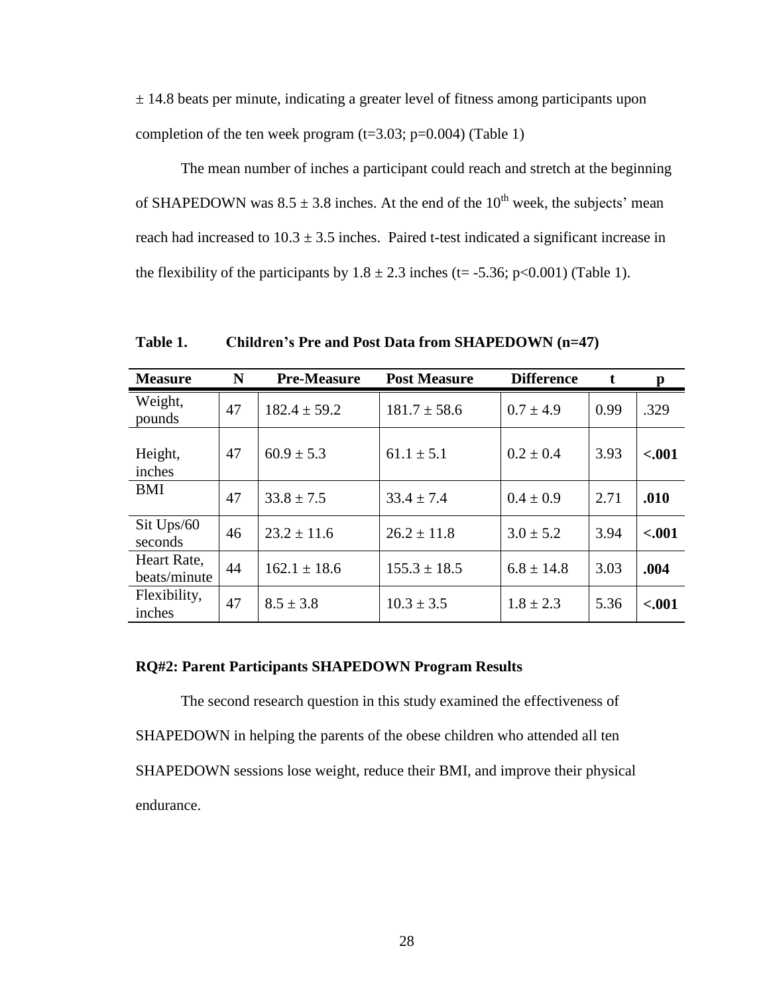$\pm$  14.8 beats per minute, indicating a greater level of fitness among participants upon completion of the ten week program  $(t=3.03; p=0.004)$  (Table 1)

The mean number of inches a participant could reach and stretch at the beginning of SHAPEDOWN was  $8.5 \pm 3.8$  inches. At the end of the 10<sup>th</sup> week, the subjects' mean reach had increased to  $10.3 \pm 3.5$  inches. Paired t-test indicated a significant increase in the flexibility of the participants by  $1.8 \pm 2.3$  inches (t= -5.36; p<0.001) (Table 1).

**Measure N Pre-Measure Post Measure Difference t p** Weight, pounds  $\begin{vmatrix} 47 & 182.4 \pm 59.2 \end{vmatrix}$   $181.7 \pm 58.6$   $\begin{vmatrix} 0.7 \pm 4.9 \end{vmatrix}$   $\begin{vmatrix} 0.99 & 329 \end{vmatrix}$ Height, inches  $47 | 60.9 \pm 5.3 | 61.1 \pm 5.1 | 0.2 \pm 0.4 | 3.93 | 5.001$ BMI  $\begin{array}{|c|c|c|c|c|c|}\n\hline\n & 47 & 33.8 \pm 7.5 & 33.4 \pm 7.4 & 0.4 \pm 0.9 & 2.71 & 0.00\n\end{array}$ Sit Ups/60  $\begin{array}{|l|c|c|c|c|c|c|c|} \hline \text{3.0} & 3.0 & 3.94 & 3.94 & \text{0.001} \ \text{seconds} & & 46 & 23.2 & \pm 11.6 & & 3.0 & \pm 5.2 & 3.94 & \text{0.001} \ \hline \end{array}$ Heart Rate, beats/minute 44 162.1 ± 18.6 155.3 ± 18.5 6.8 ± 14.8 3.03 **.004** Flexibility, inches  $\begin{vmatrix} 47 & 8.5 \pm 3.8 \end{vmatrix}$   $\begin{vmatrix} 10.3 \pm 3.5 \end{vmatrix}$   $\begin{vmatrix} 1.8 \pm 2.3 \end{vmatrix}$   $\begin{vmatrix} 5.36 \end{vmatrix}$  <.001

**Table 1. Children's Pre and Post Data from SHAPEDOWN (n=47)**

#### **RQ#2: Parent Participants SHAPEDOWN Program Results**

The second research question in this study examined the effectiveness of SHAPEDOWN in helping the parents of the obese children who attended all ten SHAPEDOWN sessions lose weight, reduce their BMI, and improve their physical endurance.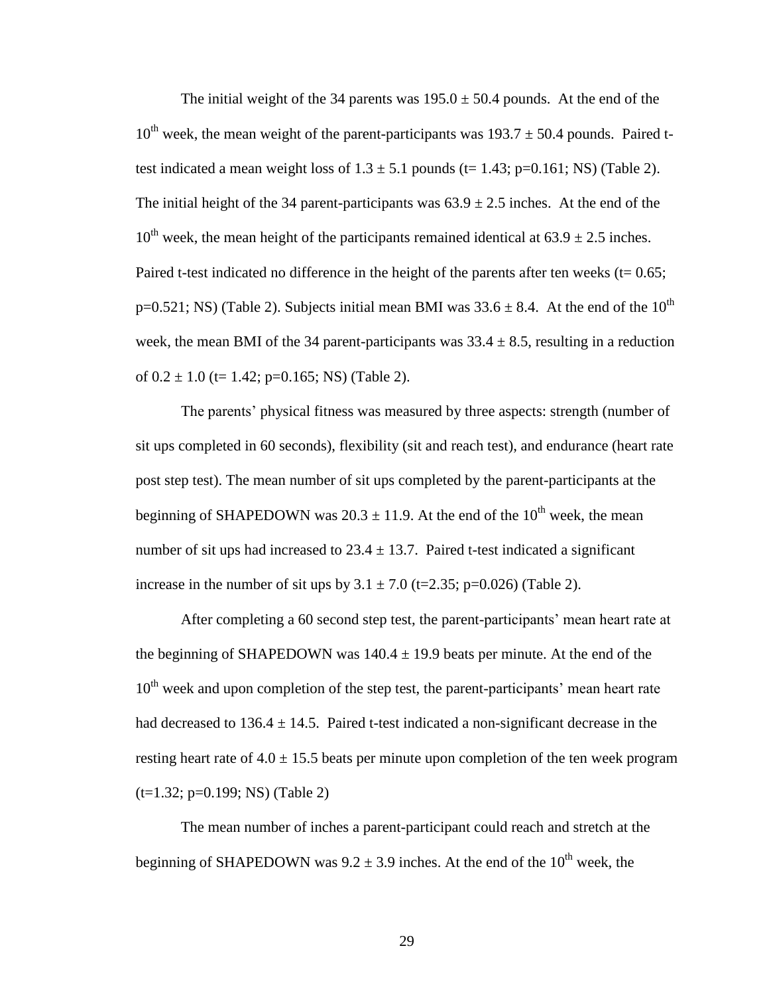The initial weight of the 34 parents was  $195.0 \pm 50.4$  pounds. At the end of the  $10^{th}$  week, the mean weight of the parent-participants was  $193.7 \pm 50.4$  pounds. Paired ttest indicated a mean weight loss of  $1.3 \pm 5.1$  pounds (t= 1.43; p=0.161; NS) (Table 2). The initial height of the 34 parent-participants was  $63.9 \pm 2.5$  inches. At the end of the  $10^{th}$  week, the mean height of the participants remained identical at  $63.9 \pm 2.5$  inches. Paired t-test indicated no difference in the height of the parents after ten weeks ( $t= 0.65$ ;  $p=0.521$ ; NS) (Table 2). Subjects initial mean BMI was  $33.6 \pm 8.4$ . At the end of the  $10^{th}$ week, the mean BMI of the 34 parent-participants was  $33.4 \pm 8.5$ , resulting in a reduction of  $0.2 \pm 1.0$  (t= 1.42; p=0.165; NS) (Table 2).

The parents' physical fitness was measured by three aspects: strength (number of sit ups completed in 60 seconds), flexibility (sit and reach test), and endurance (heart rate post step test). The mean number of sit ups completed by the parent-participants at the beginning of SHAPEDOWN was  $20.3 \pm 11.9$ . At the end of the  $10^{th}$  week, the mean number of sit ups had increased to  $23.4 \pm 13.7$ . Paired t-test indicated a significant increase in the number of sit ups by  $3.1 \pm 7.0$  (t=2.35; p=0.026) (Table 2).

After completing a 60 second step test, the parent-participants' mean heart rate at the beginning of SHAPEDOWN was  $140.4 \pm 19.9$  beats per minute. At the end of the  $10<sup>th</sup>$  week and upon completion of the step test, the parent-participants' mean heart rate had decreased to  $136.4 \pm 14.5$ . Paired t-test indicated a non-significant decrease in the resting heart rate of  $4.0 \pm 15.5$  beats per minute upon completion of the ten week program (t=1.32; p=0.199; NS) (Table 2)

The mean number of inches a parent-participant could reach and stretch at the beginning of SHAPEDOWN was  $9.2 \pm 3.9$  inches. At the end of the  $10^{th}$  week, the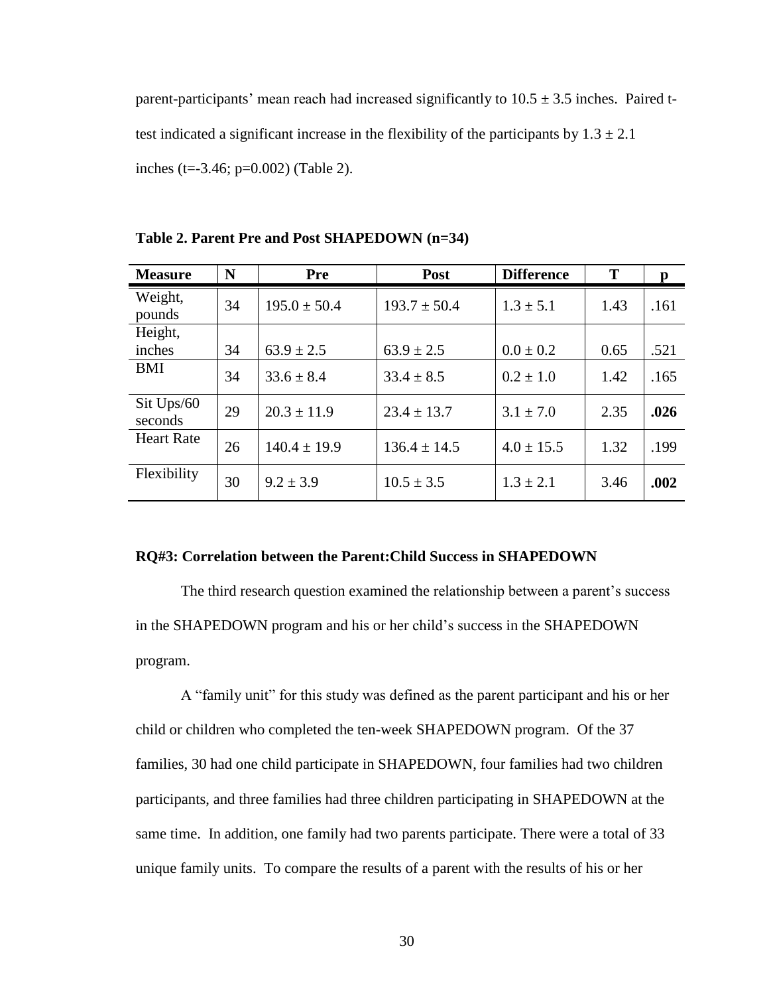parent-participants' mean reach had increased significantly to  $10.5 \pm 3.5$  inches. Paired ttest indicated a significant increase in the flexibility of the participants by  $1.3 \pm 2.1$ inches (t=-3.46; p=0.002) (Table 2).

| <b>Measure</b>        | N  | <b>Pre</b>       | Post             | <b>Difference</b> | T    | $\mathbf{p}$ |
|-----------------------|----|------------------|------------------|-------------------|------|--------------|
| Weight,<br>pounds     | 34 | $195.0 \pm 50.4$ | $193.7 \pm 50.4$ | $1.3 \pm 5.1$     | 1.43 | .161         |
| Height,<br>inches     | 34 | $63.9 \pm 2.5$   | $63.9 \pm 2.5$   | $0.0 \pm 0.2$     | 0.65 | .521         |
| <b>BMI</b>            | 34 | $33.6 \pm 8.4$   | $33.4 \pm 8.5$   | $0.2 \pm 1.0$     | 1.42 | .165         |
| Sit Ups/60<br>seconds | 29 | $20.3 \pm 11.9$  | $23.4 \pm 13.7$  | $3.1 \pm 7.0$     | 2.35 | .026         |
| <b>Heart Rate</b>     | 26 | $140.4 \pm 19.9$ | $136.4 \pm 14.5$ | $4.0 \pm 15.5$    | 1.32 | .199         |
| Flexibility           | 30 | $9.2 \pm 3.9$    | $10.5 \pm 3.5$   | $1.3 \pm 2.1$     | 3.46 | .002         |

**Table 2. Parent Pre and Post SHAPEDOWN (n=34)**

#### **RQ#3: Correlation between the Parent:Child Success in SHAPEDOWN**

The third research question examined the relationship between a parent's success in the SHAPEDOWN program and his or her child's success in the SHAPEDOWN program.

A "family unit" for this study was defined as the parent participant and his or her child or children who completed the ten-week SHAPEDOWN program. Of the 37 families, 30 had one child participate in SHAPEDOWN, four families had two children participants, and three families had three children participating in SHAPEDOWN at the same time. In addition, one family had two parents participate. There were a total of 33 unique family units. To compare the results of a parent with the results of his or her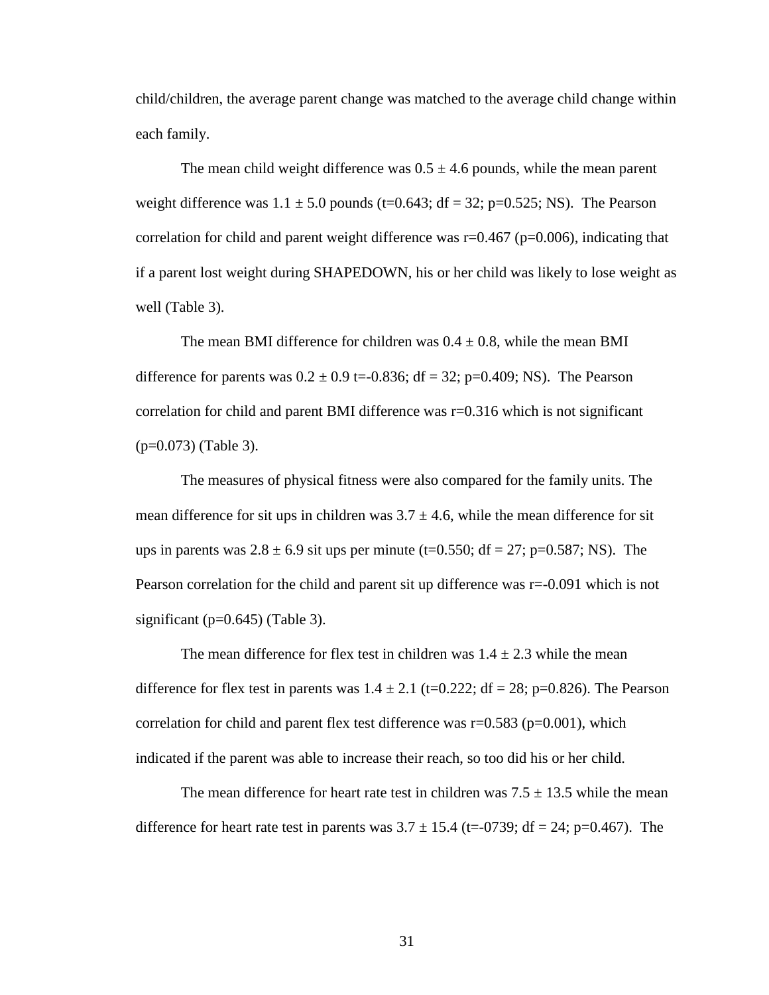child/children, the average parent change was matched to the average child change within each family.

The mean child weight difference was  $0.5 \pm 4.6$  pounds, while the mean parent weight difference was  $1.1 \pm 5.0$  pounds (t=0.643; df = 32; p=0.525; NS). The Pearson correlation for child and parent weight difference was  $r=0.467$  (p=0.006), indicating that if a parent lost weight during SHAPEDOWN, his or her child was likely to lose weight as well (Table 3).

The mean BMI difference for children was  $0.4 \pm 0.8$ , while the mean BMI difference for parents was  $0.2 \pm 0.9$  t=-0.836; df = 32; p=0.409; NS). The Pearson correlation for child and parent BMI difference was  $r=0.316$  which is not significant (p=0.073) (Table 3).

The measures of physical fitness were also compared for the family units. The mean difference for sit ups in children was  $3.7 \pm 4.6$ , while the mean difference for sit ups in parents was  $2.8 \pm 6.9$  sit ups per minute (t=0.550; df = 27; p=0.587; NS). The Pearson correlation for the child and parent sit up difference was  $r=0.091$  which is not significant ( $p=0.645$ ) (Table 3).

The mean difference for flex test in children was  $1.4 \pm 2.3$  while the mean difference for flex test in parents was  $1.4 \pm 2.1$  (t=0.222; df = 28; p=0.826). The Pearson correlation for child and parent flex test difference was  $r=0.583$  ( $p=0.001$ ), which indicated if the parent was able to increase their reach, so too did his or her child.

The mean difference for heart rate test in children was  $7.5 \pm 13.5$  while the mean difference for heart rate test in parents was  $3.7 \pm 15.4$  (t=-0739; df = 24; p=0.467). The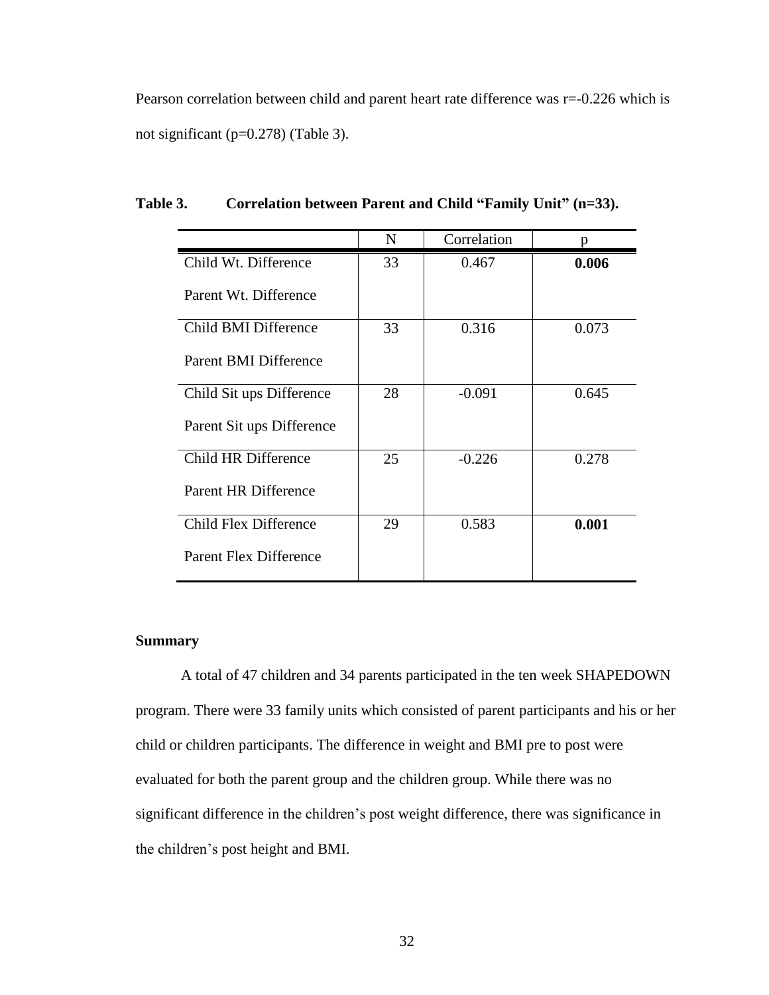Pearson correlation between child and parent heart rate difference was r=-0.226 which is not significant (p=0.278) (Table 3).

|                               | N  | Correlation | p     |
|-------------------------------|----|-------------|-------|
| Child Wt. Difference          | 33 | 0.467       | 0.006 |
| Parent Wt. Difference         |    |             |       |
| Child BMI Difference          | 33 | 0.316       | 0.073 |
| Parent BMI Difference         |    |             |       |
| Child Sit ups Difference      | 28 | $-0.091$    | 0.645 |
| Parent Sit ups Difference     |    |             |       |
| Child HR Difference           | 25 | $-0.226$    | 0.278 |
| Parent HR Difference          |    |             |       |
| Child Flex Difference         | 29 | 0.583       | 0.001 |
| <b>Parent Flex Difference</b> |    |             |       |

**Table 3. Correlation between Parent and Child "Family Unit" (n=33).**

# **Summary**

A total of 47 children and 34 parents participated in the ten week SHAPEDOWN program. There were 33 family units which consisted of parent participants and his or her child or children participants. The difference in weight and BMI pre to post were evaluated for both the parent group and the children group. While there was no significant difference in the children's post weight difference, there was significance in the children's post height and BMI.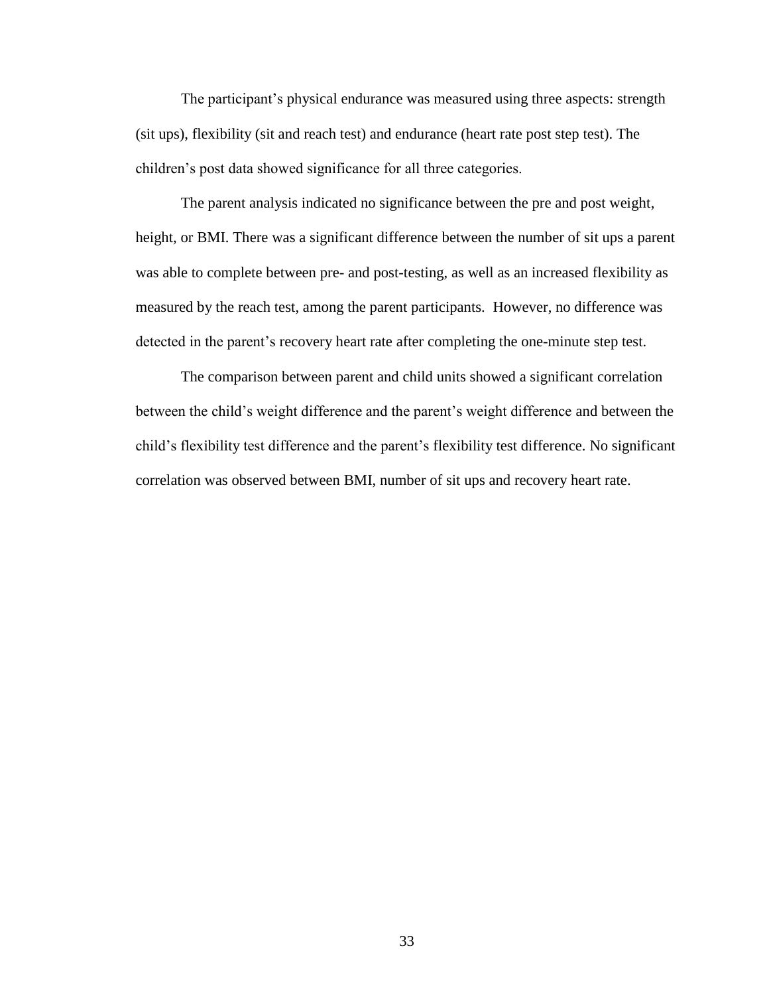The participant's physical endurance was measured using three aspects: strength (sit ups), flexibility (sit and reach test) and endurance (heart rate post step test). The children's post data showed significance for all three categories.

The parent analysis indicated no significance between the pre and post weight, height, or BMI. There was a significant difference between the number of sit ups a parent was able to complete between pre- and post-testing, as well as an increased flexibility as measured by the reach test, among the parent participants. However, no difference was detected in the parent's recovery heart rate after completing the one-minute step test.

The comparison between parent and child units showed a significant correlation between the child's weight difference and the parent's weight difference and between the child's flexibility test difference and the parent's flexibility test difference. No significant correlation was observed between BMI, number of sit ups and recovery heart rate.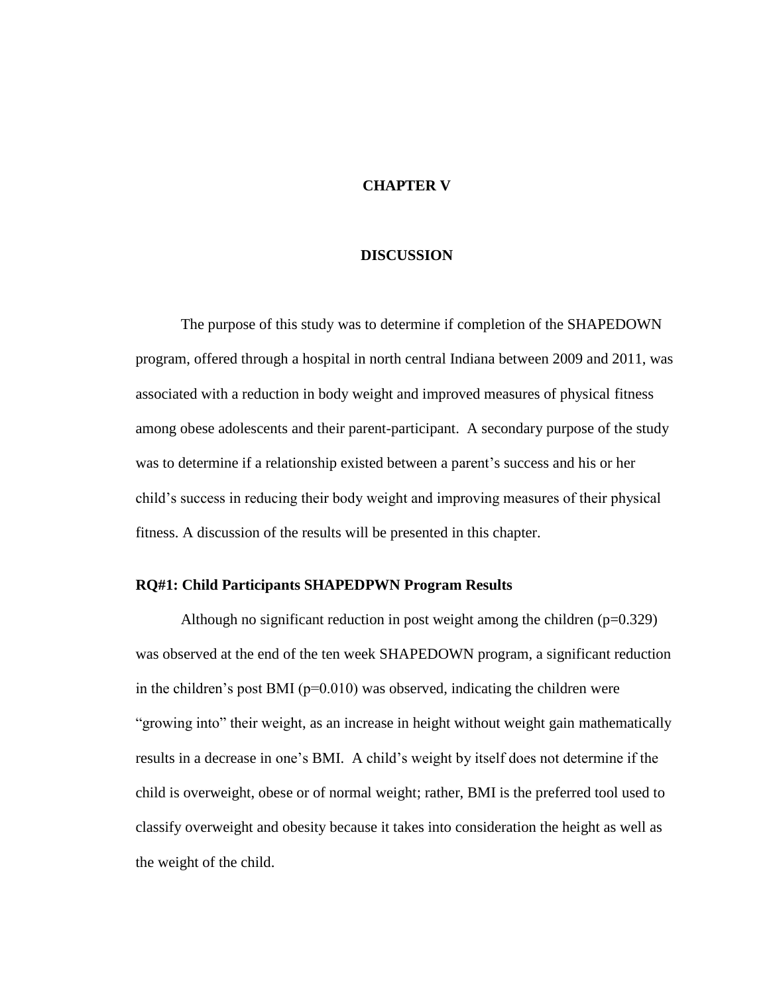# **CHAPTER V**

### **DISCUSSION**

The purpose of this study was to determine if completion of the SHAPEDOWN program, offered through a hospital in north central Indiana between 2009 and 2011, was associated with a reduction in body weight and improved measures of physical fitness among obese adolescents and their parent-participant. A secondary purpose of the study was to determine if a relationship existed between a parent's success and his or her child's success in reducing their body weight and improving measures of their physical fitness. A discussion of the results will be presented in this chapter.

### **RQ#1: Child Participants SHAPEDPWN Program Results**

Although no significant reduction in post weight among the children  $(p=0.329)$ was observed at the end of the ten week SHAPEDOWN program, a significant reduction in the children's post BMI ( $p=0.010$ ) was observed, indicating the children were "growing into" their weight, as an increase in height without weight gain mathematically results in a decrease in one's BMI. A child's weight by itself does not determine if the child is overweight, obese or of normal weight; rather, BMI is the preferred tool used to classify overweight and obesity because it takes into consideration the height as well as the weight of the child.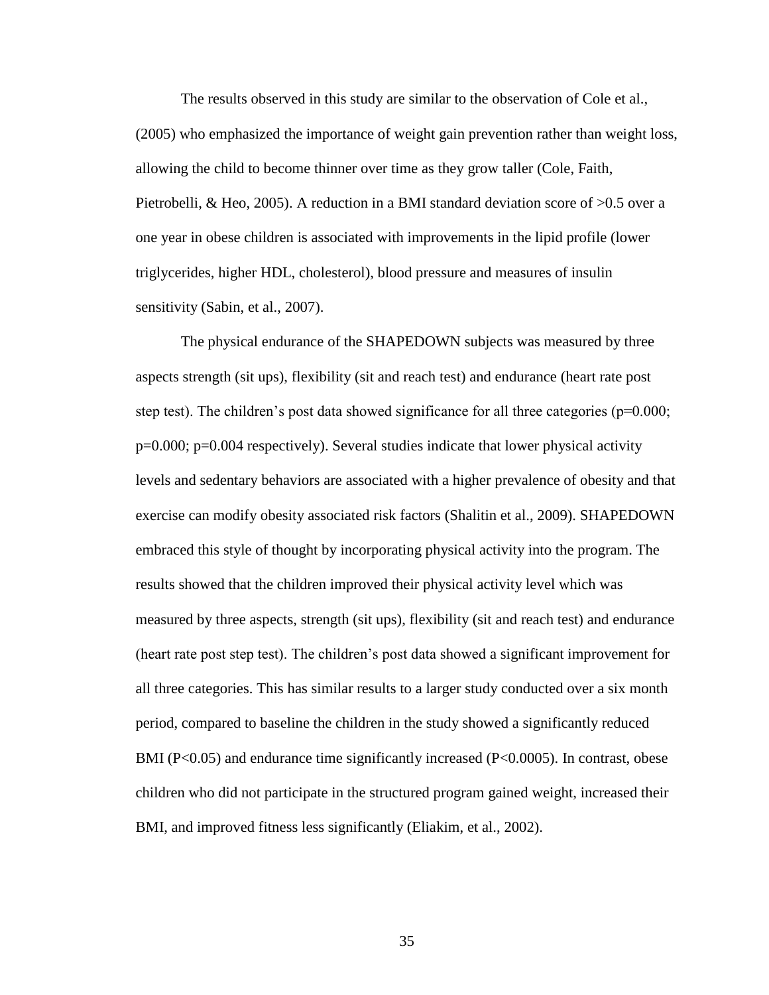The results observed in this study are similar to the observation of Cole et al., (2005) who emphasized the importance of weight gain prevention rather than weight loss, allowing the child to become thinner over time as they grow taller (Cole, Faith, Pietrobelli, & Heo, 2005). A reduction in a BMI standard deviation score of >0.5 over a one year in obese children is associated with improvements in the lipid profile (lower triglycerides, higher HDL, cholesterol), blood pressure and measures of insulin sensitivity (Sabin, et al., 2007).

The physical endurance of the SHAPEDOWN subjects was measured by three aspects strength (sit ups), flexibility (sit and reach test) and endurance (heart rate post step test). The children's post data showed significance for all three categories (p=0.000; p=0.000; p=0.004 respectively). Several studies indicate that lower physical activity levels and sedentary behaviors are associated with a higher prevalence of obesity and that exercise can modify obesity associated risk factors (Shalitin et al., 2009). SHAPEDOWN embraced this style of thought by incorporating physical activity into the program. The results showed that the children improved their physical activity level which was measured by three aspects, strength (sit ups), flexibility (sit and reach test) and endurance (heart rate post step test). The children's post data showed a significant improvement for all three categories. This has similar results to a larger study conducted over a six month period, compared to baseline the children in the study showed a significantly reduced BMI (P<0.05) and endurance time significantly increased (P<0.0005). In contrast, obese children who did not participate in the structured program gained weight, increased their BMI, and improved fitness less significantly (Eliakim, et al., 2002).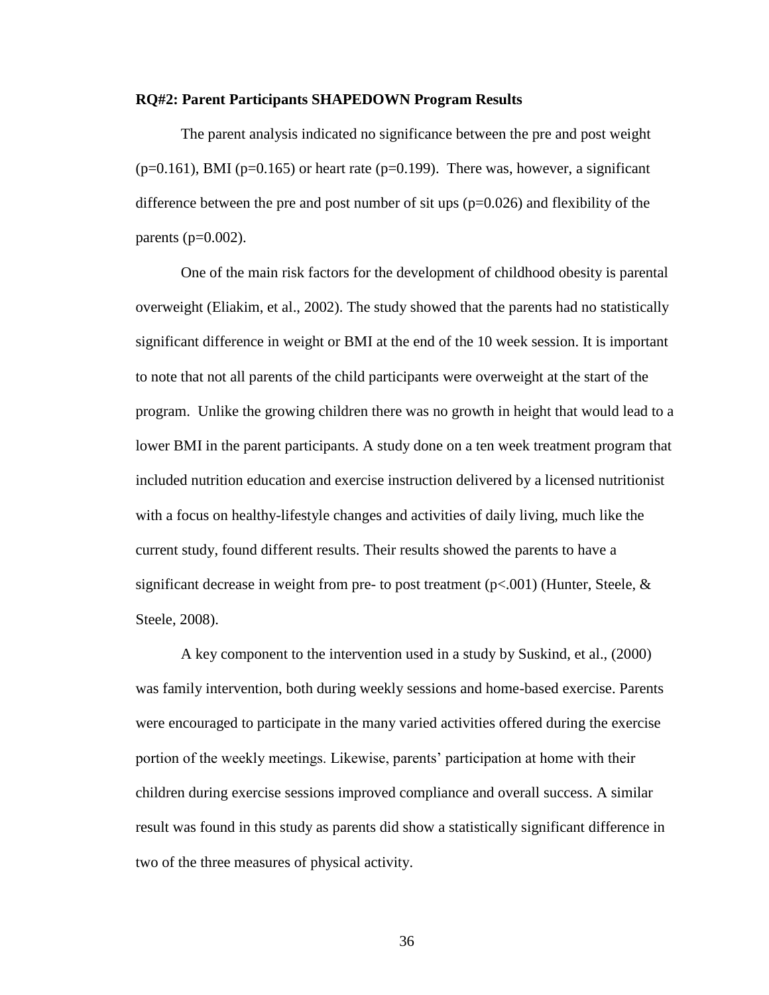#### **RQ#2: Parent Participants SHAPEDOWN Program Results**

The parent analysis indicated no significance between the pre and post weight  $(p=0.161)$ , BMI ( $p=0.165$ ) or heart rate ( $p=0.199$ ). There was, however, a significant difference between the pre and post number of sit ups (p=0.026) and flexibility of the parents ( $p=0.002$ ).

One of the main risk factors for the development of childhood obesity is parental overweight (Eliakim, et al., 2002). The study showed that the parents had no statistically significant difference in weight or BMI at the end of the 10 week session. It is important to note that not all parents of the child participants were overweight at the start of the program. Unlike the growing children there was no growth in height that would lead to a lower BMI in the parent participants. A study done on a ten week treatment program that included nutrition education and exercise instruction delivered by a licensed nutritionist with a focus on healthy-lifestyle changes and activities of daily living, much like the current study, found different results. Their results showed the parents to have a significant decrease in weight from pre- to post treatment  $(p<.001)$  (Hunter, Steele, & Steele, 2008).

A key component to the intervention used in a study by Suskind, et al., (2000) was family intervention, both during weekly sessions and home-based exercise. Parents were encouraged to participate in the many varied activities offered during the exercise portion of the weekly meetings. Likewise, parents' participation at home with their children during exercise sessions improved compliance and overall success. A similar result was found in this study as parents did show a statistically significant difference in two of the three measures of physical activity.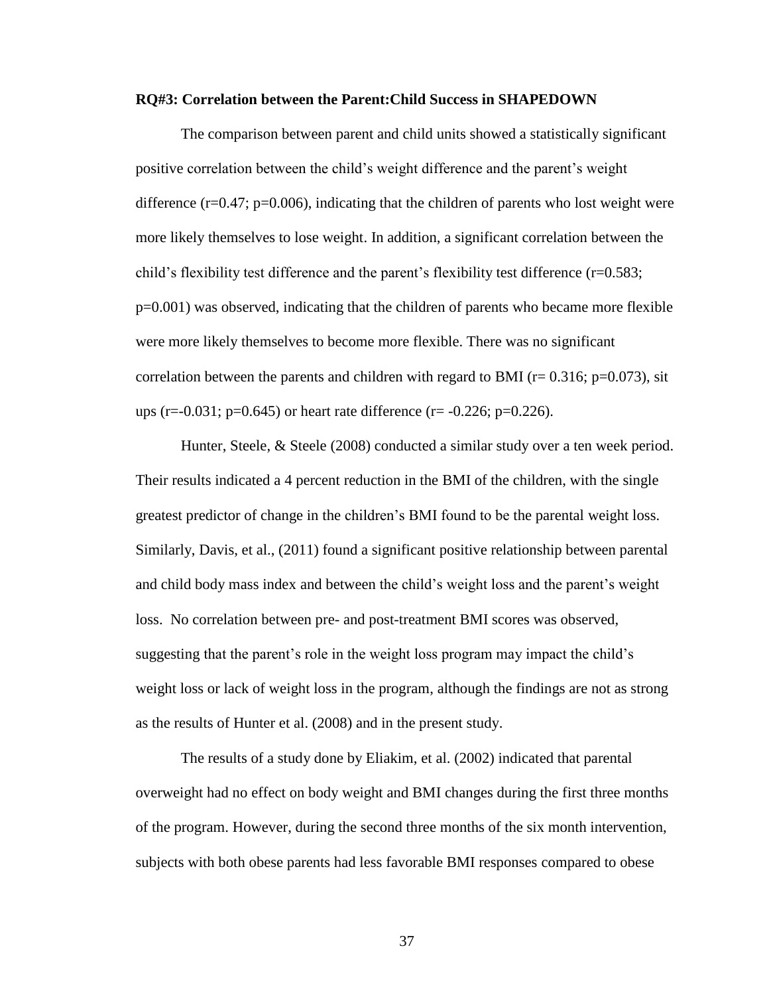#### **RQ#3: Correlation between the Parent:Child Success in SHAPEDOWN**

The comparison between parent and child units showed a statistically significant positive correlation between the child's weight difference and the parent's weight difference  $(r=0.47; p=0.006)$ , indicating that the children of parents who lost weight were more likely themselves to lose weight. In addition, a significant correlation between the child's flexibility test difference and the parent's flexibility test difference (r=0.583; p=0.001) was observed, indicating that the children of parents who became more flexible were more likely themselves to become more flexible. There was no significant correlation between the parents and children with regard to BMI ( $r= 0.316$ ;  $p=0.073$ ), sit ups (r=-0.031; p=0.645) or heart rate difference (r= -0.226; p=0.226).

Hunter, Steele, & Steele (2008) conducted a similar study over a ten week period. Their results indicated a 4 percent reduction in the BMI of the children, with the single greatest predictor of change in the children's BMI found to be the parental weight loss. Similarly, Davis, et al., (2011) found a significant positive relationship between parental and child body mass index and between the child's weight loss and the parent's weight loss. No correlation between pre- and post-treatment BMI scores was observed, suggesting that the parent's role in the weight loss program may impact the child's weight loss or lack of weight loss in the program, although the findings are not as strong as the results of Hunter et al. (2008) and in the present study.

The results of a study done by Eliakim, et al. (2002) indicated that parental overweight had no effect on body weight and BMI changes during the first three months of the program. However, during the second three months of the six month intervention, subjects with both obese parents had less favorable BMI responses compared to obese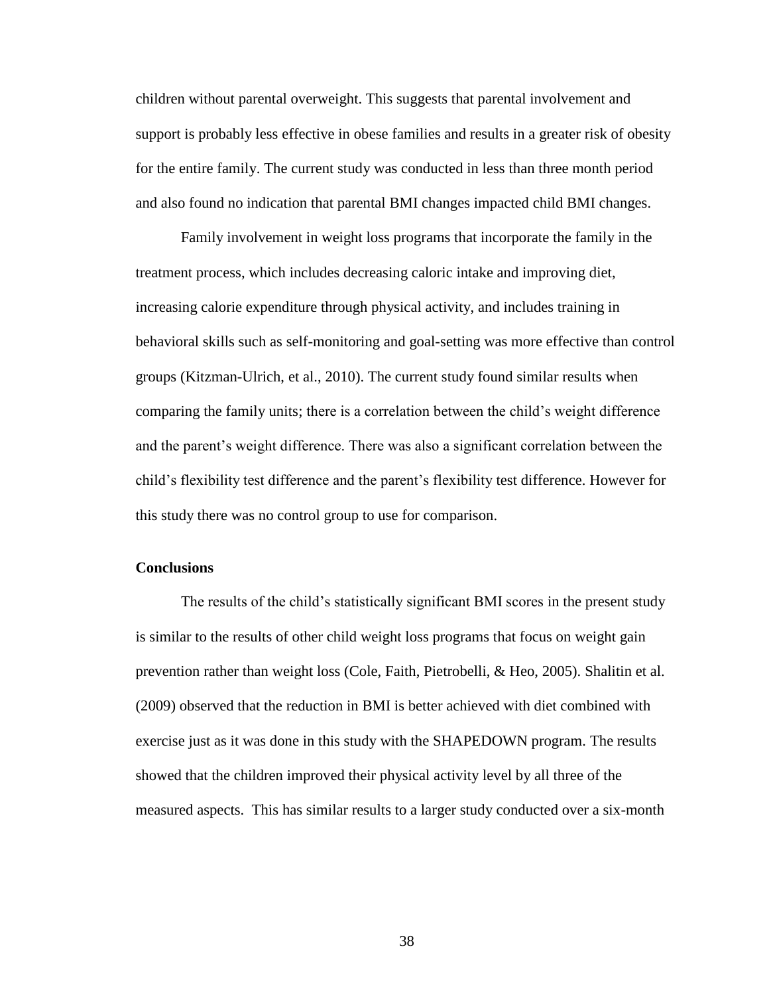children without parental overweight. This suggests that parental involvement and support is probably less effective in obese families and results in a greater risk of obesity for the entire family. The current study was conducted in less than three month period and also found no indication that parental BMI changes impacted child BMI changes.

Family involvement in weight loss programs that incorporate the family in the treatment process, which includes decreasing caloric intake and improving diet, increasing calorie expenditure through physical activity, and includes training in behavioral skills such as self-monitoring and goal-setting was more effective than control groups (Kitzman-Ulrich, et al., 2010). The current study found similar results when comparing the family units; there is a correlation between the child's weight difference and the parent's weight difference. There was also a significant correlation between the child's flexibility test difference and the parent's flexibility test difference. However for this study there was no control group to use for comparison.

### **Conclusions**

The results of the child's statistically significant BMI scores in the present study is similar to the results of other child weight loss programs that focus on weight gain prevention rather than weight loss (Cole, Faith, Pietrobelli, & Heo, 2005). Shalitin et al. (2009) observed that the reduction in BMI is better achieved with diet combined with exercise just as it was done in this study with the SHAPEDOWN program. The results showed that the children improved their physical activity level by all three of the measured aspects. This has similar results to a larger study conducted over a six-month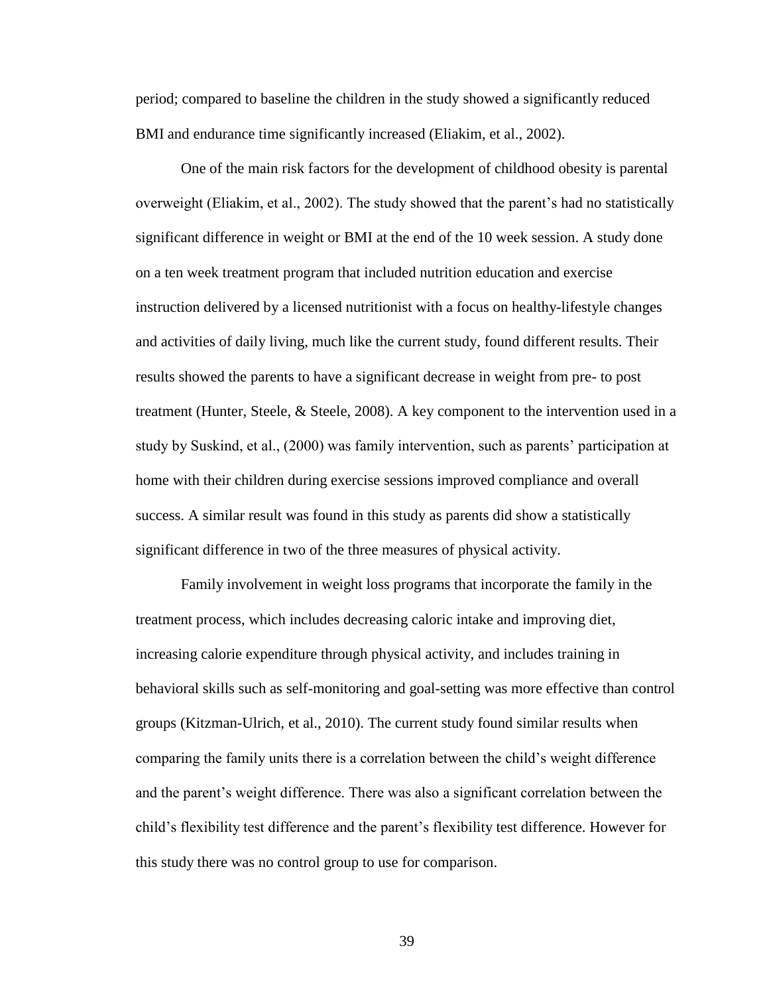period; compared to baseline the children in the study showed a significantly reduced BMI and endurance time significantly increased (Eliakim, et al., 2002).

One of the main risk factors for the development of childhood obesity is parental overweight (Eliakim, et al., 2002). The study showed that the parent's had no statistically significant difference in weight or BMI at the end of the 10 week session. A study done on a ten week treatment program that included nutrition education and exercise instruction delivered by a licensed nutritionist with a focus on healthy-lifestyle changes and activities of daily living, much like the current study, found different results. Their results showed the parents to have a significant decrease in weight from pre- to post treatment (Hunter, Steele, & Steele, 2008). A key component to the intervention used in a study by Suskind, et al., (2000) was family intervention, such as parents' participation at home with their children during exercise sessions improved compliance and overall success. A similar result was found in this study as parents did show a statistically significant difference in two of the three measures of physical activity.

Family involvement in weight loss programs that incorporate the family in the treatment process, which includes decreasing caloric intake and improving diet, increasing calorie expenditure through physical activity, and includes training in behavioral skills such as self-monitoring and goal-setting was more effective than control groups (Kitzman-Ulrich, et al., 2010). The current study found similar results when comparing the family units there is a correlation between the child's weight difference and the parent's weight difference. There was also a significant correlation between the child's flexibility test difference and the parent's flexibility test difference. However for this study there was no control group to use for comparison.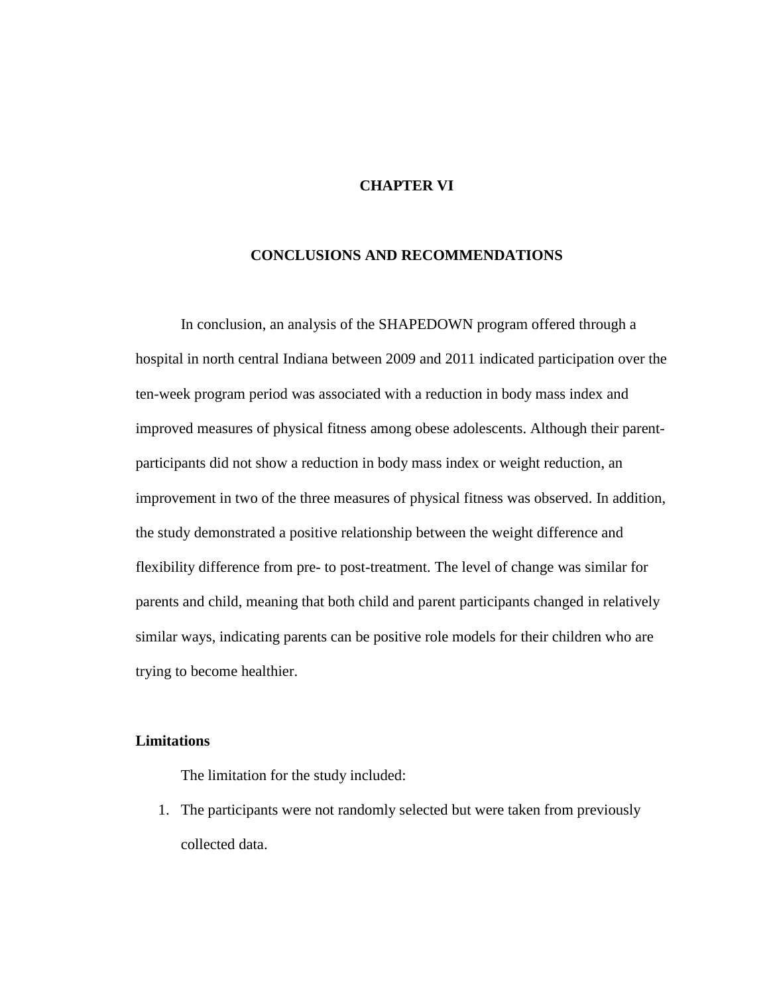# **CHAPTER VI**

### **CONCLUSIONS AND RECOMMENDATIONS**

In conclusion, an analysis of the SHAPEDOWN program offered through a hospital in north central Indiana between 2009 and 2011 indicated participation over the ten-week program period was associated with a reduction in body mass index and improved measures of physical fitness among obese adolescents. Although their parentparticipants did not show a reduction in body mass index or weight reduction, an improvement in two of the three measures of physical fitness was observed. In addition, the study demonstrated a positive relationship between the weight difference and flexibility difference from pre- to post-treatment. The level of change was similar for parents and child, meaning that both child and parent participants changed in relatively similar ways, indicating parents can be positive role models for their children who are trying to become healthier.

# **Limitations**

The limitation for the study included:

1. The participants were not randomly selected but were taken from previously collected data.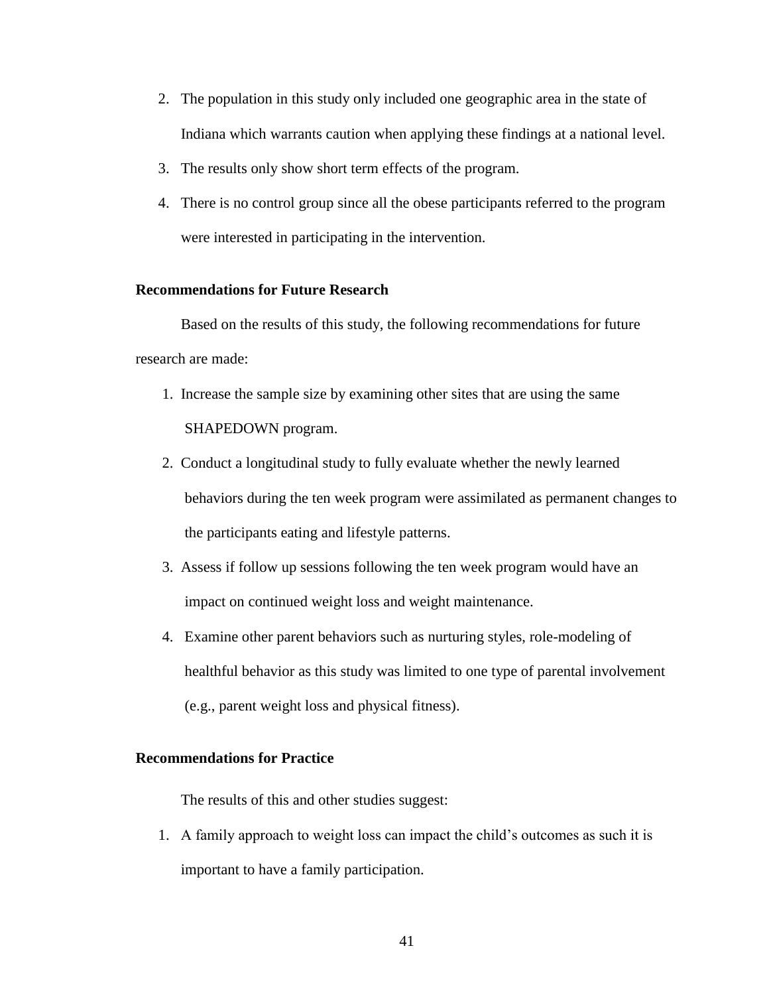- 2. The population in this study only included one geographic area in the state of Indiana which warrants caution when applying these findings at a national level.
- 3. The results only show short term effects of the program.
- 4. There is no control group since all the obese participants referred to the program were interested in participating in the intervention.

# **Recommendations for Future Research**

Based on the results of this study, the following recommendations for future research are made:

- 1. Increase the sample size by examining other sites that are using the same SHAPEDOWN program.
- 2. Conduct a longitudinal study to fully evaluate whether the newly learned behaviors during the ten week program were assimilated as permanent changes to the participants eating and lifestyle patterns.
- 3. Assess if follow up sessions following the ten week program would have an impact on continued weight loss and weight maintenance.
- 4. Examine other parent behaviors such as nurturing styles, role-modeling of healthful behavior as this study was limited to one type of parental involvement (e.g., parent weight loss and physical fitness).

### **Recommendations for Practice**

The results of this and other studies suggest:

1. A family approach to weight loss can impact the child's outcomes as such it is important to have a family participation.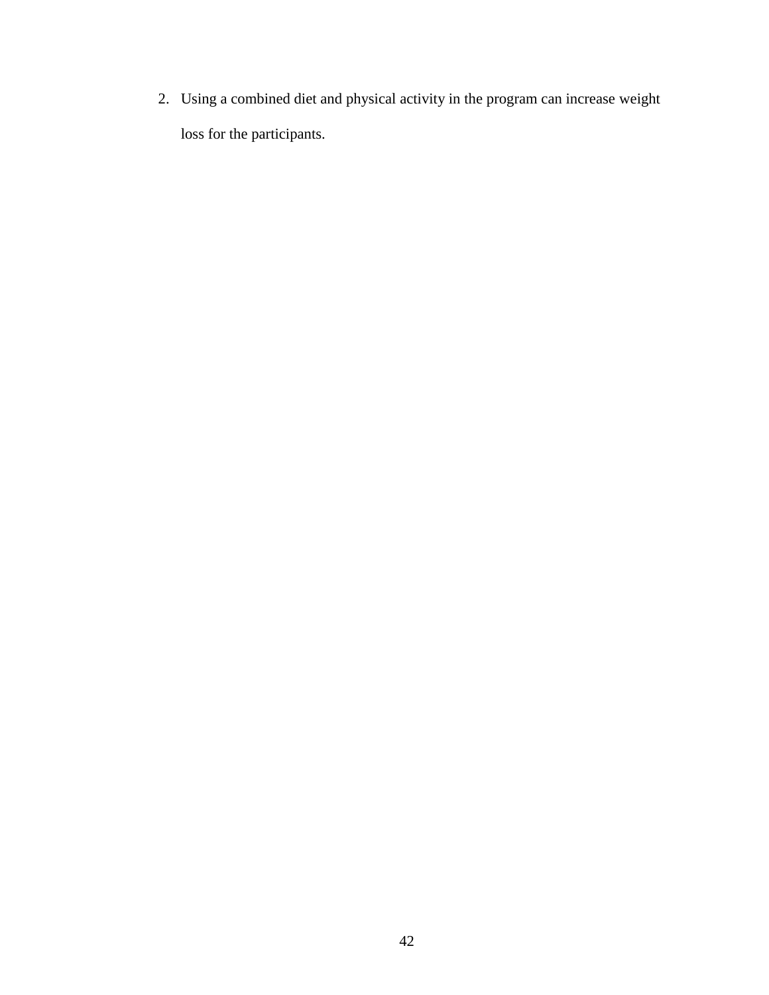2. Using a combined diet and physical activity in the program can increase weight loss for the participants.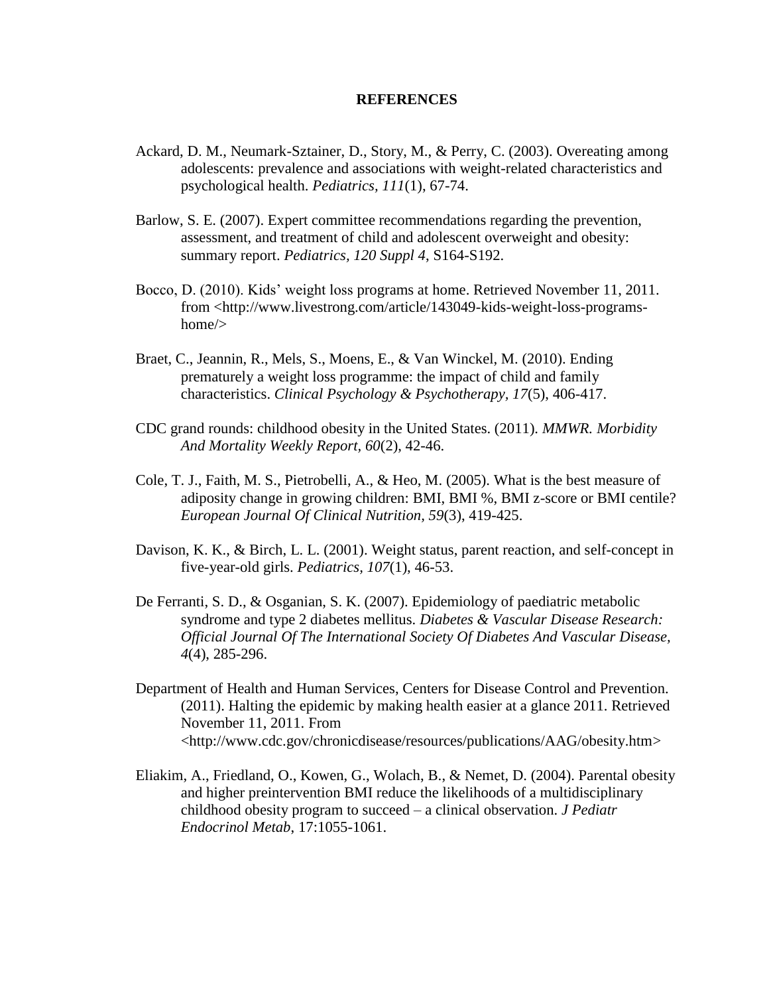### **REFERENCES**

- Ackard, D. M., Neumark-Sztainer, D., Story, M., & Perry, C. (2003). Overeating among adolescents: prevalence and associations with weight-related characteristics and psychological health. *Pediatrics, 111*(1), 67-74.
- Barlow, S. E. (2007). Expert committee recommendations regarding the prevention, assessment, and treatment of child and adolescent overweight and obesity: summary report. *Pediatrics, 120 Suppl 4*, S164-S192.
- Bocco, D. (2010). Kids' weight loss programs at home. Retrieved November 11, 2011. from <http://www.livestrong.com/article/143049-kids-weight-loss-programshome/>
- Braet, C., Jeannin, R., Mels, S., Moens, E., & Van Winckel, M. (2010). Ending prematurely a weight loss programme: the impact of child and family characteristics. *Clinical Psychology & Psychotherapy, 17*(5), 406-417.
- CDC grand rounds: childhood obesity in the United States. (2011). *MMWR. Morbidity And Mortality Weekly Report, 60*(2), 42-46.
- Cole, T. J., Faith, M. S., Pietrobelli, A., & Heo, M. (2005). What is the best measure of adiposity change in growing children: BMI, BMI %, BMI z-score or BMI centile? *European Journal Of Clinical Nutrition, 59*(3), 419-425.
- Davison, K. K., & Birch, L. L. (2001). Weight status, parent reaction, and self-concept in five-year-old girls. *Pediatrics, 107*(1), 46-53.
- De Ferranti, S. D., & Osganian, S. K. (2007). Epidemiology of paediatric metabolic syndrome and type 2 diabetes mellitus. *Diabetes & Vascular Disease Research: Official Journal Of The International Society Of Diabetes And Vascular Disease, 4*(4), 285-296.
- Department of Health and Human Services, Centers for Disease Control and Prevention. (2011). Halting the epidemic by making health easier at a glance 2011. Retrieved November 11, 2011. From <http://www.cdc.gov/chronicdisease/resources/publications/AAG/obesity.htm>
- Eliakim, A., Friedland, O., Kowen, G., Wolach, B., & Nemet, D. (2004). Parental obesity and higher preintervention BMI reduce the likelihoods of a multidisciplinary childhood obesity program to succeed – a clinical observation. *J Pediatr Endocrinol Metab*, 17:1055-1061.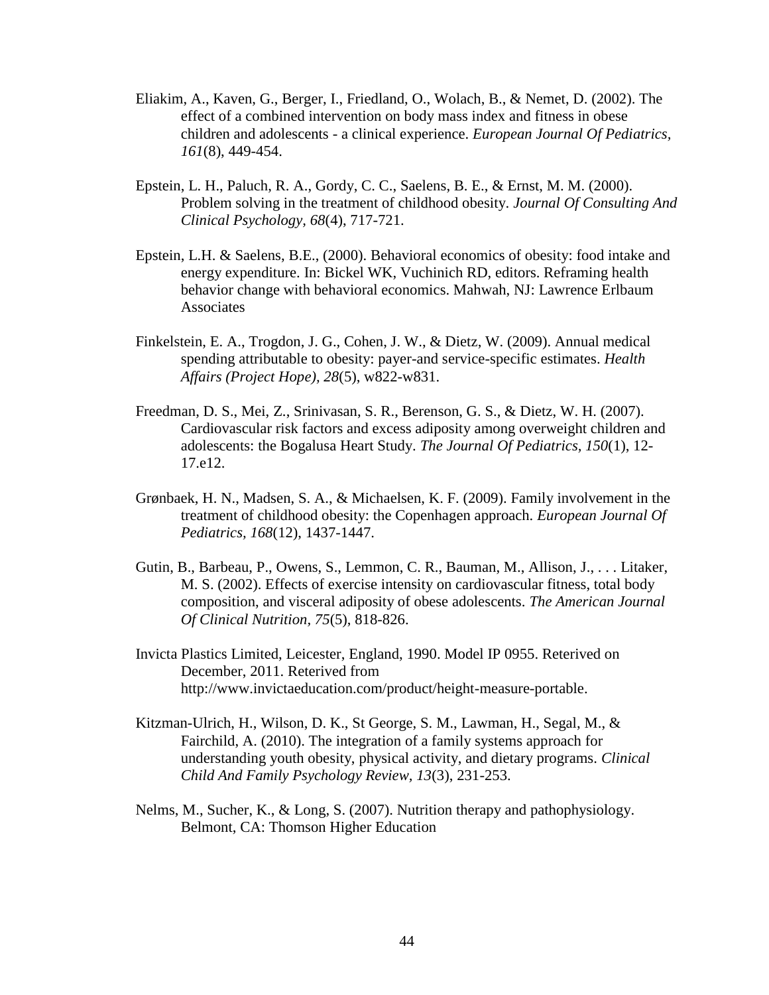- Eliakim, A., Kaven, G., Berger, I., Friedland, O., Wolach, B., & Nemet, D. (2002). The effect of a combined intervention on body mass index and fitness in obese children and adolescents - a clinical experience. *European Journal Of Pediatrics, 161*(8), 449-454.
- Epstein, L. H., Paluch, R. A., Gordy, C. C., Saelens, B. E., & Ernst, M. M. (2000). Problem solving in the treatment of childhood obesity. *Journal Of Consulting And Clinical Psychology, 68*(4), 717-721.
- Epstein, L.H. & Saelens, B.E., (2000). Behavioral economics of obesity: food intake and energy expenditure. In: Bickel WK, Vuchinich RD, editors. Reframing health behavior change with behavioral economics. Mahwah, NJ: Lawrence Erlbaum Associates
- Finkelstein, E. A., Trogdon, J. G., Cohen, J. W., & Dietz, W. (2009). Annual medical spending attributable to obesity: payer-and service-specific estimates. *Health Affairs (Project Hope), 28*(5), w822-w831.
- Freedman, D. S., Mei, Z., Srinivasan, S. R., Berenson, G. S., & Dietz, W. H. (2007). Cardiovascular risk factors and excess adiposity among overweight children and adolescents: the Bogalusa Heart Study. *The Journal Of Pediatrics, 150*(1), 12- 17.e12.
- Grønbaek, H. N., Madsen, S. A., & Michaelsen, K. F. (2009). Family involvement in the treatment of childhood obesity: the Copenhagen approach. *European Journal Of Pediatrics, 168*(12), 1437-1447.
- Gutin, B., Barbeau, P., Owens, S., Lemmon, C. R., Bauman, M., Allison, J., . . . Litaker, M. S. (2002). Effects of exercise intensity on cardiovascular fitness, total body composition, and visceral adiposity of obese adolescents. *The American Journal Of Clinical Nutrition, 75*(5), 818-826.
- Invicta Plastics Limited, Leicester, England, 1990. Model IP 0955. Reterived on December, 2011. Reterived from http://www.invictaeducation.com/product/height-measure-portable.
- Kitzman-Ulrich, H., Wilson, D. K., St George, S. M., Lawman, H., Segal, M., & Fairchild, A. (2010). The integration of a family systems approach for understanding youth obesity, physical activity, and dietary programs. *Clinical Child And Family Psychology Review, 13*(3), 231-253.
- Nelms, M., Sucher, K., & Long, S. (2007). Nutrition therapy and pathophysiology. Belmont, CA: Thomson Higher Education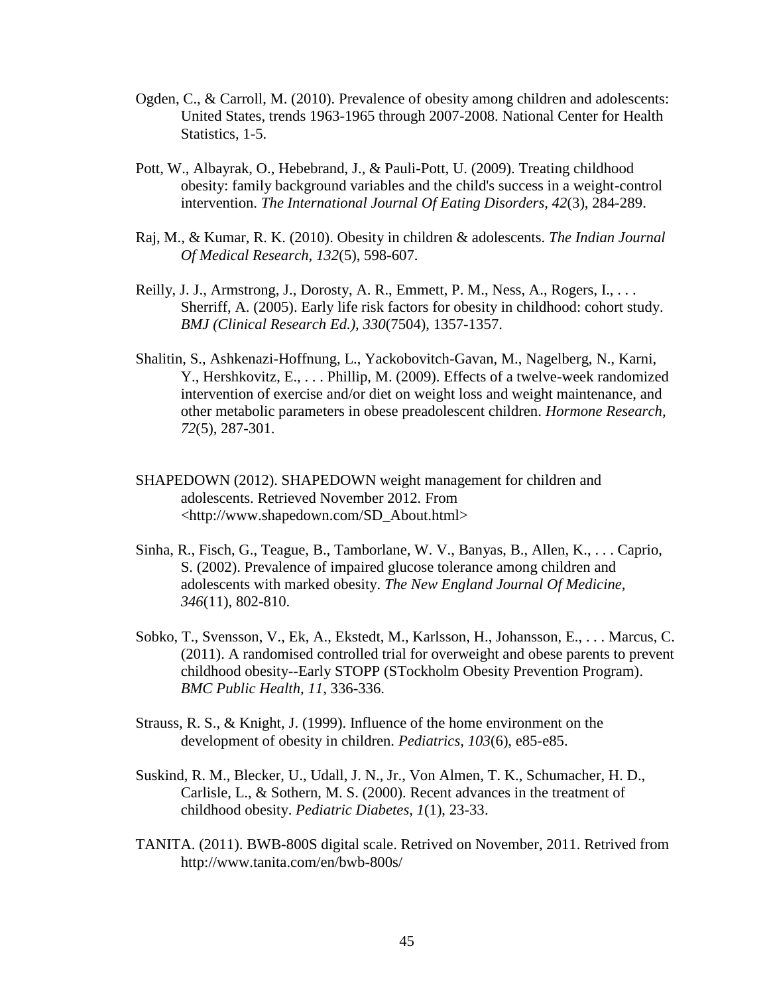- Ogden, C., & Carroll, M. (2010). Prevalence of obesity among children and adolescents: United States, trends 1963-1965 through 2007-2008. National Center for Health Statistics, 1-5.
- Pott, W., Albayrak, O., Hebebrand, J., & Pauli-Pott, U. (2009). Treating childhood obesity: family background variables and the child's success in a weight-control intervention. *The International Journal Of Eating Disorders, 42*(3), 284-289.
- Raj, M., & Kumar, R. K. (2010). Obesity in children & adolescents. *The Indian Journal Of Medical Research, 132*(5), 598-607.
- Reilly, J. J., Armstrong, J., Dorosty, A. R., Emmett, P. M., Ness, A., Rogers, I., . . . Sherriff, A. (2005). Early life risk factors for obesity in childhood: cohort study. *BMJ (Clinical Research Ed.), 330*(7504), 1357-1357.
- Shalitin, S., Ashkenazi-Hoffnung, L., Yackobovitch-Gavan, M., Nagelberg, N., Karni, Y., Hershkovitz, E., . . . Phillip, M. (2009). Effects of a twelve-week randomized intervention of exercise and/or diet on weight loss and weight maintenance, and other metabolic parameters in obese preadolescent children. *Hormone Research, 72*(5), 287-301.
- SHAPEDOWN (2012). SHAPEDOWN weight management for children and adolescents. Retrieved November 2012. From <http://www.shapedown.com/SD\_About.html>
- Sinha, R., Fisch, G., Teague, B., Tamborlane, W. V., Banyas, B., Allen, K., . . . Caprio, S. (2002). Prevalence of impaired glucose tolerance among children and adolescents with marked obesity. *The New England Journal Of Medicine, 346*(11), 802-810.
- Sobko, T., Svensson, V., Ek, A., Ekstedt, M., Karlsson, H., Johansson, E., . . . Marcus, C. (2011). A randomised controlled trial for overweight and obese parents to prevent childhood obesity--Early STOPP (STockholm Obesity Prevention Program). *BMC Public Health, 11*, 336-336.
- Strauss, R. S., & Knight, J. (1999). Influence of the home environment on the development of obesity in children. *Pediatrics, 103*(6), e85-e85.
- Suskind, R. M., Blecker, U., Udall, J. N., Jr., Von Almen, T. K., Schumacher, H. D., Carlisle, L., & Sothern, M. S. (2000). Recent advances in the treatment of childhood obesity. *Pediatric Diabetes, 1*(1), 23-33.
- TANITA. (2011). BWB-800S digital scale. Retrived on November, 2011. Retrived from http://www.tanita.com/en/bwb-800s/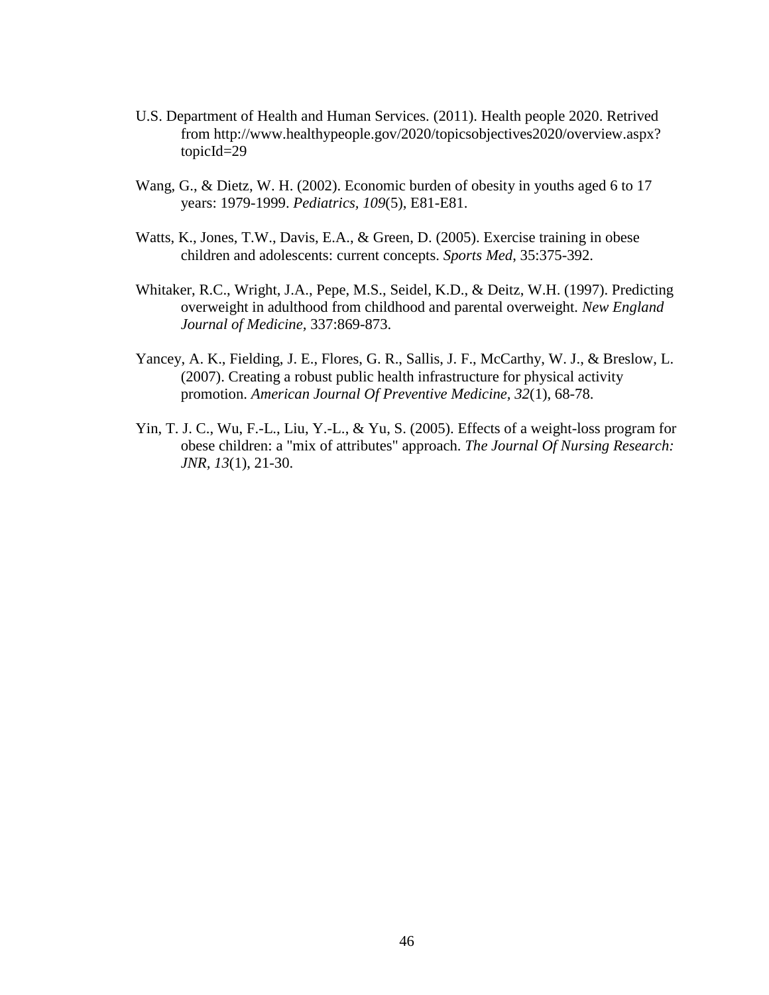- U.S. Department of Health and Human Services. (2011). Health people 2020. Retrived from http://www.healthypeople.gov/2020/topicsobjectives2020/overview.aspx? topicId=29
- Wang, G., & Dietz, W. H. (2002). Economic burden of obesity in youths aged 6 to 17 years: 1979-1999. *Pediatrics, 109*(5), E81-E81.
- Watts, K., Jones, T.W., Davis, E.A., & Green, D. (2005). Exercise training in obese children and adolescents: current concepts. *Sports Med*, 35:375-392.
- Whitaker, R.C., Wright, J.A., Pepe, M.S., Seidel, K.D., & Deitz, W.H. (1997). Predicting overweight in adulthood from childhood and parental overweight*. New England Journal of Medicine,* 337:869-873.
- Yancey, A. K., Fielding, J. E., Flores, G. R., Sallis, J. F., McCarthy, W. J., & Breslow, L. (2007). Creating a robust public health infrastructure for physical activity promotion. *American Journal Of Preventive Medicine, 32*(1), 68-78.
- Yin, T. J. C., Wu, F.-L., Liu, Y.-L., & Yu, S. (2005). Effects of a weight-loss program for obese children: a "mix of attributes" approach. *The Journal Of Nursing Research: JNR, 13*(1), 21-30.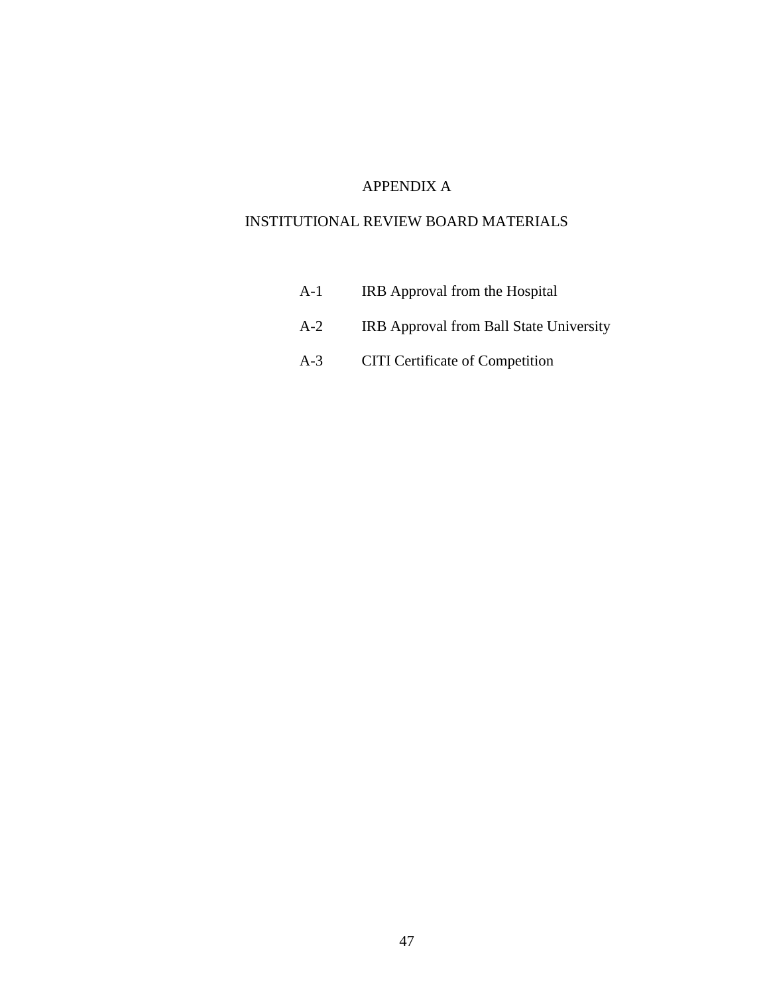# APPENDIX A

# INSTITUTIONAL REVIEW BOARD MATERIALS

- A-1 IRB Approval from the Hospital
- A-2 IRB Approval from Ball State University
- A-3 CITI Certificate of Competition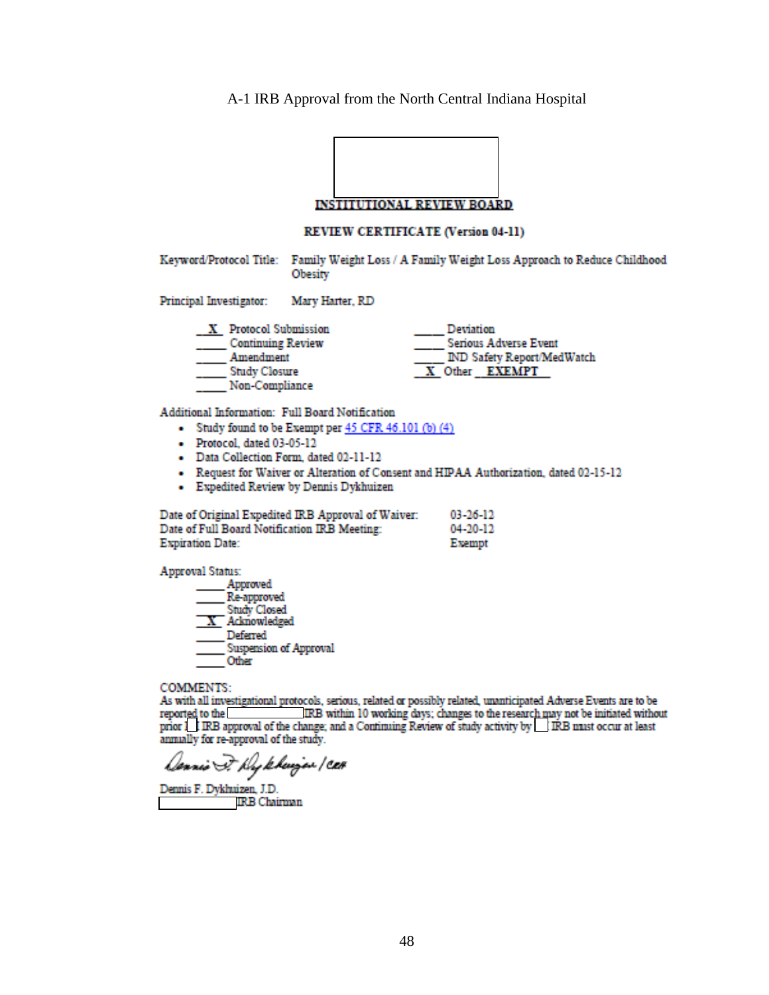A-1 IRB Approval from the North Central Indiana Hospital

r

 $\overline{\mathbf{1}}$ 

|                                                                                                                                        | <b>INSTITUTIONAL REVIEW BOARD</b>                                                              |                                |                                                                                                |
|----------------------------------------------------------------------------------------------------------------------------------------|------------------------------------------------------------------------------------------------|--------------------------------|------------------------------------------------------------------------------------------------|
|                                                                                                                                        | <b>REVIEW CERTIFICATE (Version 04-11)</b>                                                      |                                |                                                                                                |
|                                                                                                                                        | Obesity                                                                                        |                                | Keyword/Protocol Title: Family Weight Loss / A Family Weight Loss Approach to Reduce Childhood |
| Principal Investigator:                                                                                                                | Mary Harter, RD                                                                                |                                |                                                                                                |
| X Protocol Submission<br>______ Continuing Review<br>___ Amendment<br>Study Closure<br>Non-Compliance                                  |                                                                                                | Deviation<br>X Other EXEMPT    | Serious Adverse Event<br><b>IND Safety Report/MedWatch</b>                                     |
| Additional Information: Full Board Notification<br>- Protocol, dated 03-05-12<br>- Data Collection Form, dated 02-11-12                | • Study found to be Exempt per 45 CFR 46.101 (b) (4)<br>- Expedited Review by Dennis Dykhuizen |                                | - Request for Waiver or Alteration of Consent and HIPAA Authorization, dated 02-15-12          |
| Date of Original Expedited IRB Approval of Waiver:<br>Date of Full Board Notification IRB Meeting:<br><b>Expiration Date:</b>          |                                                                                                | 03-26-12<br>04-20-12<br>Exempt |                                                                                                |
| <b>Approval Status:</b><br>_Approved<br>Re-approved<br>Study Closed<br>$X$ Acknowledged<br>Deferred<br>Suspension of Approval<br>Other |                                                                                                |                                |                                                                                                |
| COMMENTS:                                                                                                                              |                                                                                                |                                |                                                                                                |

As with all investigational protocols, serious, related or possibly related, unanticipated Adverse Events are to be reported to the IRB within 10 working days; changes to the research may not be initiated without prior **LI** 

Dennis F. Hykkujan / CEH

Dennis F. Dykhuizen, J.D. **IRB** Chairman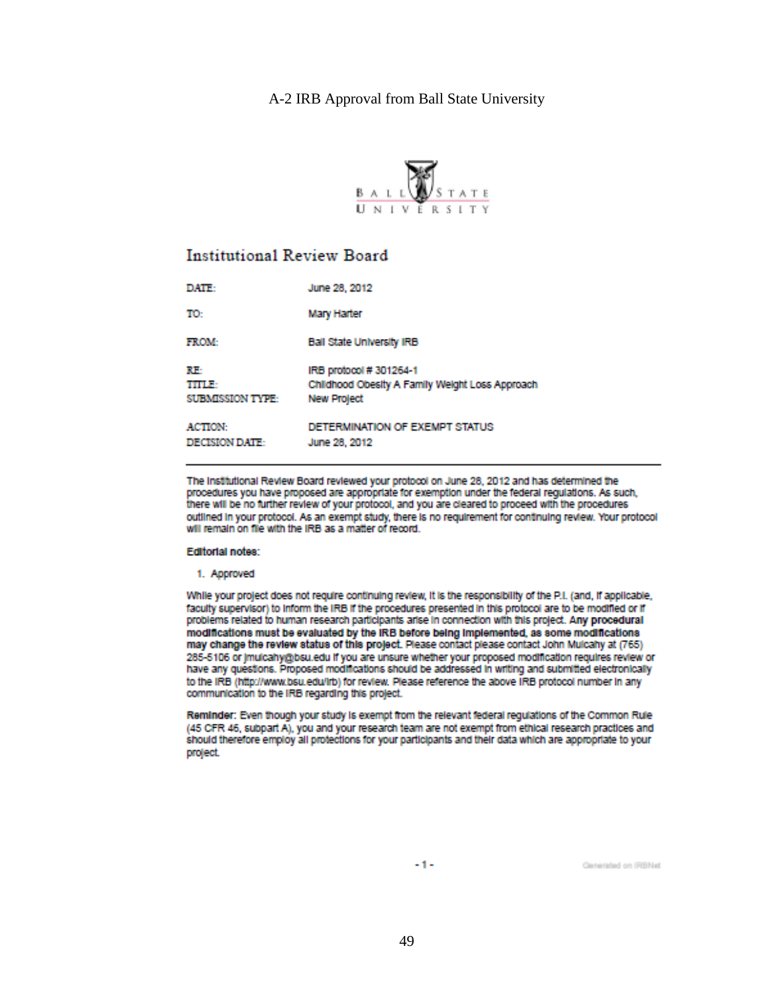# A-2 IRB Approval from Ball State University



# **Institutional Review Board**

| DATE:                            | June 28, 2012                                                                                   |
|----------------------------------|-------------------------------------------------------------------------------------------------|
| TO:                              | Mary Harter                                                                                     |
| <b>FROM:</b>                     | <b>Ball State University IRB</b>                                                                |
| RF.<br>TITLE<br>SUBMISSION TYPE: | IRB protocol #301264-1<br>Childhood Obesity A Family Weight Loss Approach<br><b>New Project</b> |
| <b>ACTION:</b><br>DECISION DATE: | DETERMINATION OF EXEMPT STATUS<br>June 28, 2012                                                 |

The Institutional Review Board reviewed your protocol on June 28, 2012 and has determined the procedures you have proposed are appropriate for exemption under the federal regulations. As such, there will be no further review of your protocol, and you are cleared to proceed with the procedures outlined in your protocol. As an exempt study, there is no requirement for continuing review. Your protocol will remain on file with the IRB as a matter of record.

#### Editorial notes:

1. Approved

While your project does not require continuing review, it is the responsibility of the P.I. (and, if applicable, faculty supervisor) to inform the IRB if the procedures presented in this protocol are to be modified or if problems related to human research participants anse in connection with this project. Any procedural modifications must be evaluated by the IRB before being implemented, as some modifications may change the review status of this project. Please contact please contact John Mulcahy at (765) 285-5106 or jmulcahy@bsu.edu if you are unsure whether your proposed modification requires review or have any questions. Proposed modifications should be addressed in writing and submitted electronically to the IRB (http://www.bsu.edu/Irb) for review. Please reference the above IRB protocol number in any communication to the IRB regarding this project.

Reminder: Even though your study is exempt from the relevant federal regulations of the Common Rule (45 CFR 46, subpart A), you and your research team are not exempt from ethical research practices and should therefore employ all protections for your participants and their data which are appropriate to your project.

-1-

Generated on IRBNet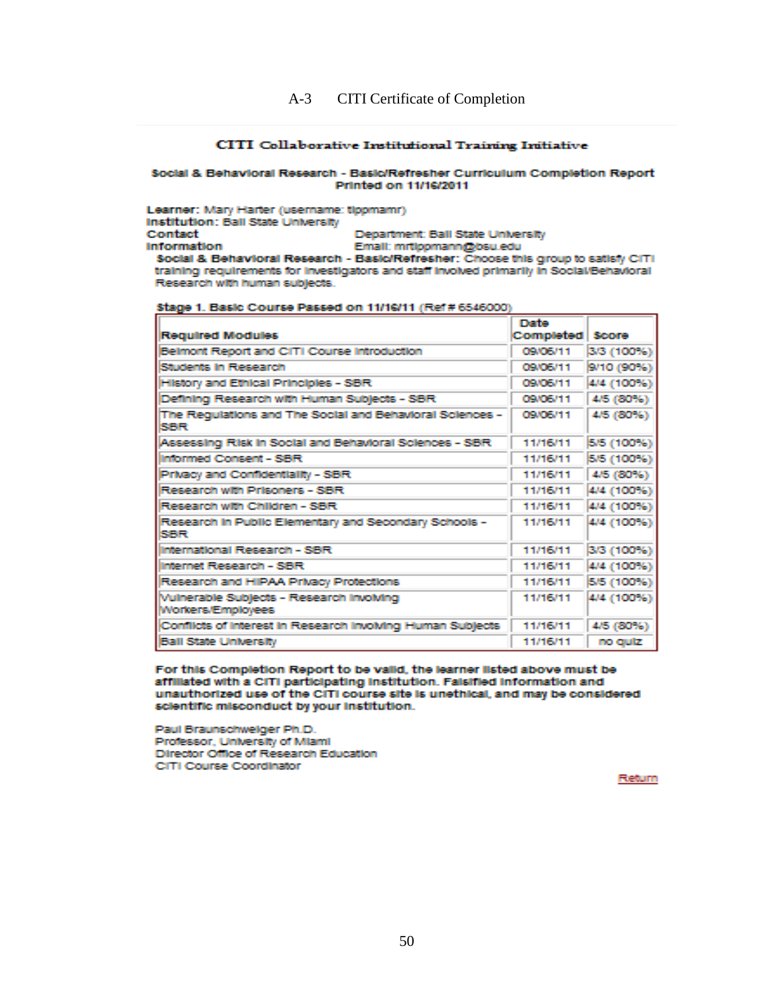#### **CITI Collaborative Institutional Training Initiative**

#### Social & Behavioral Research - Basic/Refresher Curriculum Completion Report Printed on 11/16/2011

Learner: Mary Harter (usemame: ticomamr) Institution: Ball State University **Contact** Department: Ball State University **Information** Email: mrtippmann@bsu.edu Social & Behavioral Research - Basic/Refresher: Choose this group to satisfy CITI

training requirements for investigators and staff involved primarily in Social/Behavioral Research with human subjects. Stage 1. Basic Course Passed on 11/16/11 (Ref# 6546000)

|                                                                          | <b>IT STORE</b>    |                   |
|--------------------------------------------------------------------------|--------------------|-------------------|
| <b>Regulred Modules</b>                                                  | Completed Score    |                   |
| Belmont Report and CITI Course Introduction                              | <b>CONCIENTITI</b> | 3/3 (100%)        |
| Students in Research                                                     | <b>CANCEMENT</b>   | 9/10 (90%)        |
| <b>History and Ethical Principles - SBR</b>                              | <b>CANCENT 1</b>   | 4/4 (100%)        |
| Defining Research with Human Subjects - SBR                              | <b>CONCIENTITI</b> | 4/5 (80%)         |
| The Regulations and The Social and Behavioral Sciences -<br>SER          | <b>CANCEMENT</b>   | <b>4/5 (2005)</b> |
| Assessing Risk in Social and Behavioral Sciences - SBR                   | 11/16/11           | <b>5/5 (100%)</b> |
| Informed Consent - SBR                                                   | 11/16/11           | <b>5/5 (100%)</b> |
| Privacy and Confidentiality - SBR                                        | 11/16/11           | 4/5 (2025)        |
| Research with Prisoners - SBR                                            | 11/16/11           | 4/4 (100%)        |
| Research with Children - SBR                                             | 11/16/11           | 4/4 (100%)        |
| Research in Public Elementary and Secondary Schools -<br><b>ISSENTS:</b> | 11/16/11           | 4/4 (100%)        |
| International Research - SBR                                             | 11/16/11           | 3/3 (100%)        |
| Internet Research - SBR                                                  | 11/16/11           | 4/4 (100%)        |
| Research and HIPAA Privacy Protections                                   | 11/16/11           | <b>5/5 (100%)</b> |
| Vulnerable Subjects - Research Involving<br>Workers/Employees            | 11/16/11           | 4/4 (100%)        |
| Conflicts of Interest in Research Involving Human Subjects               | 11/16/11           | 4/5 (200%)        |
| <b>Ball State University</b>                                             | 11/16/11           | no quiz.          |

For this Completion Report to be valid, the learner listed above must be affiliated with a CITI participating institution. Faisified information and unauthorized use of the CITI course site is unethical, and may be considered scientific misconduct by your institution.

Paul Braunschweiger Ph.D. Professor, University of Miami Director Office of Research Education CITI Course Coordinator

**Rteturn**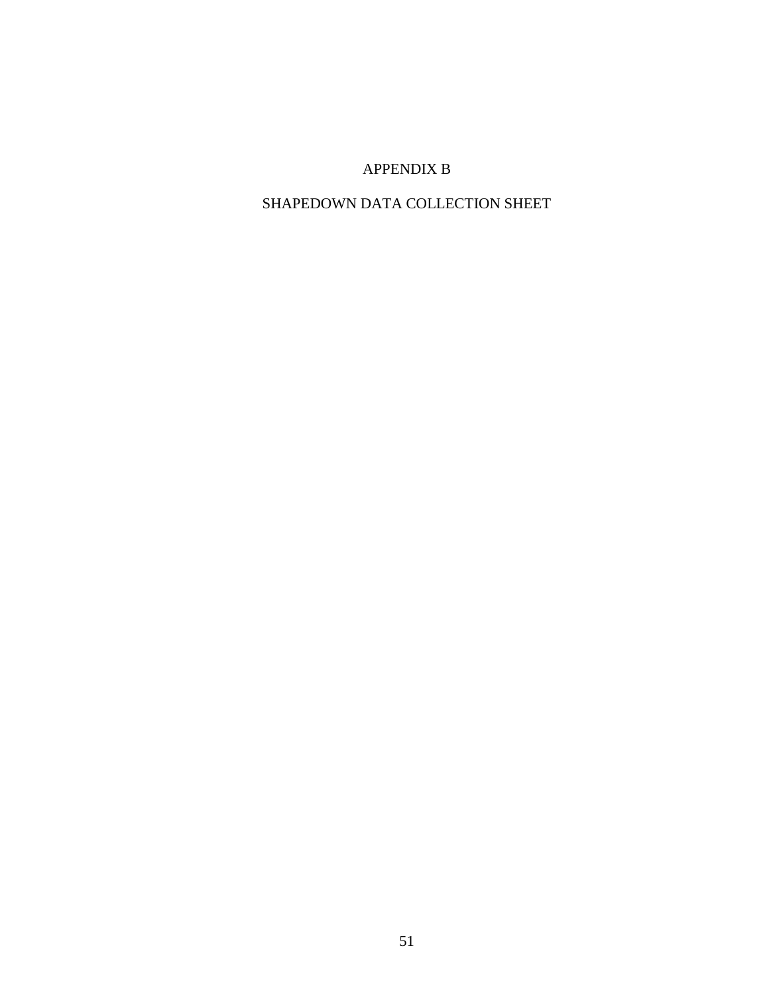# APPENDIX B

# SHAPEDOWN DATA COLLECTION SHEET